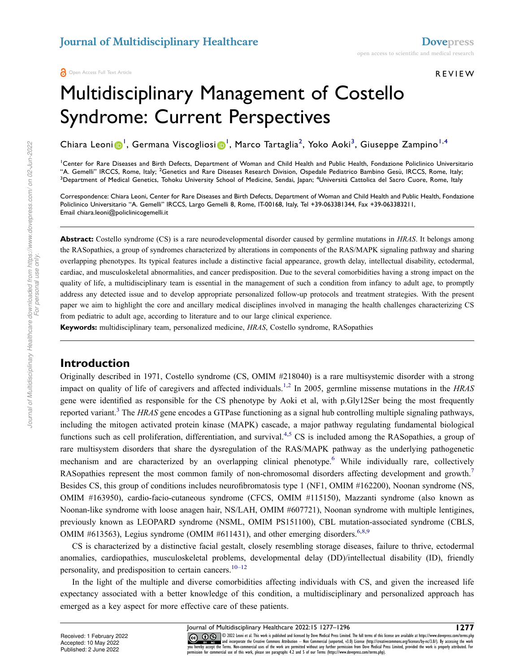#### REVIEW

# Multidisciplinary Management of Costello Syndrome: Current Perspectives

Chiara Leoni <mark>O'</mark>, Germana Viscogliosi O', Marco Tartaglia<sup>2</sup>, Yoko Aoki<sup>3</sup>, Giuseppe Zampino<sup>[1](#page-0-0),[4](#page-0-2)</sup>

<span id="page-0-2"></span><span id="page-0-1"></span><span id="page-0-0"></span><sup>1</sup>Center for Rare Diseases and Birth Defects, Department of Woman and Child Health and Public Health, Fondazione Policlinico Universitario "A. Gemelli" IRCCS, Rome, Italy; <sup>2</sup>Genetics and Rare Diseases Research Division, Ospedale Pediatrico Bambino Gesù, IRCCS, Rome, Italy; <sup>3</sup>Department of Medical Genetics, Tohoku University School of Medicine, Sendai, Japan; <sup>4</sup>Università Cattolica del Sacro Cuore, Rome, Italy

Correspondence: Chiara Leoni, Center for Rare Diseases and Birth Defects, Department of Woman and Child Health and Public Health, Fondazione Policlinico Universitario "A. Gemelli" IRCCS, Largo Gemelli 8, Rome, IT-00168, Italy, Tel +39-063381344, Fax +39-063383211, Email chiara.leoni@policlinicogemelli.it

**Abstract:** Costello syndrome (CS) is a rare neurodevelopmental disorder caused by germline mutations in *HRAS*. It belongs among the RASopathies, a group of syndromes characterized by alterations in components of the RAS/MAPK signaling pathway and sharing overlapping phenotypes. Its typical features include a distinctive facial appearance, growth delay, intellectual disability, ectodermal, cardiac, and musculoskeletal abnormalities, and cancer predisposition. Due to the several comorbidities having a strong impact on the quality of life, a multidisciplinary team is essential in the management of such a condition from infancy to adult age, to promptly address any detected issue and to develop appropriate personalized follow-up protocols and treatment strategies. With the present paper we aim to highlight the core and ancillary medical disciplines involved in managing the health challenges characterizing CS from pediatric to adult age, according to literature and to our large clinical experience.

**Keywords:** multidisciplinary team, personalized medicine, *HRAS*, Costello syndrome, RASopathies

### **Introduction**

<span id="page-0-5"></span><span id="page-0-4"></span><span id="page-0-3"></span>Originally described in 1971, Costello syndrome (CS, OMIM #218040) is a rare multisystemic disorder with a strong impact on quality of life of caregivers and affected individuals.<sup>[1](#page-15-0)[,2](#page-15-1)</sup> In 2005, germline missense mutations in the *HRAS* gene were identified as responsible for the CS phenotype by Aoki et al, with p.Gly12Ser being the most frequently reported variant.<sup>[3](#page-15-2)</sup> The *HRAS* gene encodes a GTPase functioning as a signal hub controlling multiple signaling pathways, including the mitogen activated protein kinase (MAPK) cascade, a major pathway regulating fundamental biological functions such as cell proliferation, differentiation, and survival.<sup>[4](#page-15-3),[5](#page-15-4)</sup> CS is included among the RASopathies, a group of rare multisystem disorders that share the dysregulation of the RAS/MAPK pathway as the underlying pathogenetic mechanism and are characterized by an overlapping clinical phenotype.<sup>[6](#page-15-5)</sup> While individually rare, collectively RASopathies represent the most common family of non-chromosomal disorders affecting development and growth.<sup>[7](#page-15-6)</sup> Besides CS, this group of conditions includes neurofibromatosis type 1 (NF1, OMIM #162200), Noonan syndrome (NS, OMIM #163950), cardio-facio-cutaneous syndrome (CFCS, OMIM #115150), Mazzanti syndrome (also known as Noonan-like syndrome with loose anagen hair, NS/LAH, OMIM #607721), Noonan syndrome with multiple lentigines, previously known as LEOPARD syndrome (NSML, OMIM PS151100), CBL mutation-associated syndrome (CBLS, OMIM #[6](#page-15-5)13563), Legius syndrome (OMIM #611431), and other emerging disorders.<sup>6[,8,](#page-15-7)[9](#page-15-8)</sup>

<span id="page-0-7"></span><span id="page-0-6"></span>CS is characterized by a distinctive facial gestalt, closely resembling storage diseases, failure to thrive, ectodermal anomalies, cardiopathies, musculoskeletal problems, developmental delay (DD)/intellectual disability (ID), friendly personality, and predisposition to certain cancers.<sup>[10–](#page-15-9)[12](#page-15-10)</sup>

<span id="page-0-8"></span>In the light of the multiple and diverse comorbidities affecting individuals with CS, and given the increased life expectancy associated with a better knowledge of this condition, a multidisciplinary and personalized approach has emerged as a key aspect for more effective care of these patients.

*For personal use only.*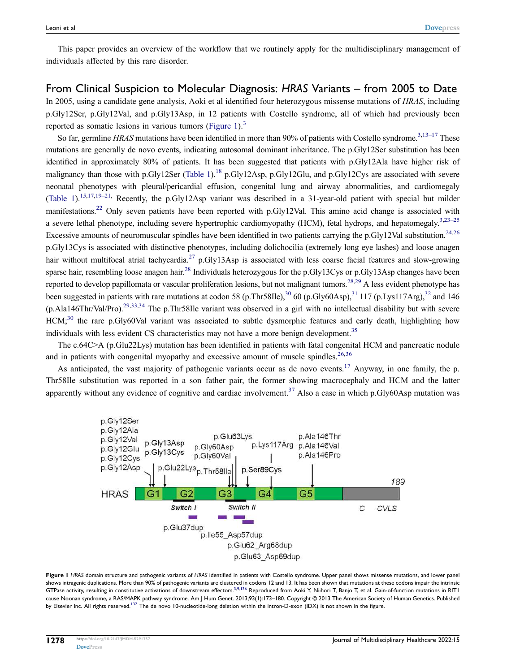This paper provides an overview of the workflow that we routinely apply for the multidisciplinary management of individuals affected by this rare disorder.

### From Clinical Suspicion to Molecular Diagnosis: *HRAS* Variants – from 2005 to Date In 2005, using a candidate gene analysis, Aoki et al identified four heterozygous missense mutations of *HRAS*, including p.Gly12Ser, p.Gly12Val, and p.Gly13Asp, in 12 patients with Costello syndrome, all of which had previously been reportedas somatic lesions in various tumors ([Figure 1](#page-1-0)). $<sup>3</sup>$  $<sup>3</sup>$  $<sup>3</sup>$ </sup>

<span id="page-1-7"></span><span id="page-1-6"></span><span id="page-1-5"></span><span id="page-1-4"></span><span id="page-1-2"></span><span id="page-1-1"></span>So far, germline *HRAS* mutations have been identified in more than 90% of patients with Costello syndrome.<sup>[3](#page-15-2)[,13–](#page-15-11)[17](#page-15-12)</sup> These mutations are generally de novo events, indicating autosomal dominant inheritance. The p.Gly12Ser substitution has been identified in approximately 80% of patients. It has been suggested that patients with p.Gly12Ala have higher risk of malignancythan those with p.Gly12Ser ([Table 1](#page-2-0)).<sup>[18](#page-15-13)</sup> p.Gly12Asp, p.Gly12Glu, and p.Gly12Cys are associated with severe neonatal phenotypes with pleural/pericardial effusion, congenital lung and airway abnormalities, and cardiomegaly [\(Table 1\)](#page-2-0).[15](#page-15-14)[,17,](#page-15-12)[19–](#page-15-15)[21,](#page-15-16) Recently, the p.Gly12Asp variant was described in a 31-year-old patient with special but milder manifestations.<sup>[22](#page-15-17)</sup> Only seven patients have been reported with p.Gly12Val. This amino acid change is associated with a severe lethal phenotype, including severe hypertrophic cardiomyopathy (HCM), fetal hydrops, and hepatomegaly.<sup>[3](#page-15-2)[,23–](#page-15-18)[25](#page-15-19)</sup> Excessive amounts of neuromuscular spindles have been identified in two patients carrying the p.Gly12Val substitution.<sup>[24](#page-15-20)[,26](#page-15-21)</sup> p.Gly13Cys is associated with distinctive phenotypes, including dolichocilia (extremely long eye lashes) and loose anagen hair without multifocal atrial tachycardia.<sup>[27](#page-15-22)</sup> p.Gly13Asp is associated with less coarse facial features and slow-growing sparse hair, resembling loose anagen hair.<sup>[28](#page-15-23)</sup> Individuals heterozygous for the p.Gly13Cys or p.Gly13Asp changes have been reported to develop papillomata or vascular proliferation lesions, but not malignant tumors.<sup>[28](#page-15-23)[,29](#page-15-24)</sup> A less evident phenotype has been suggested in patients with rare mutations at codon 58 (p.Thr58Ile),<sup>[30](#page-16-0)</sup> 60 (p.Gly60Asp),<sup>[31](#page-16-1)</sup> 117 (p.Lys117Arg),<sup>[32](#page-16-2)</sup> and 146 (p.Ala146Thr/Val/Pro).[29,](#page-15-24)[33](#page-16-3)[,34](#page-16-4) The p.Thr58Ile variant was observed in a girl with no intellectual disability but with severe  $HCM;^{30}$  $HCM;^{30}$  $HCM;^{30}$  the rare p.Gly60Val variant was associated to subtle dysmorphic features and early death, highlighting how individuals with less evident CS characteristics may not have a more benign development.<sup>[35](#page-16-5)</sup>

<span id="page-1-14"></span><span id="page-1-13"></span><span id="page-1-12"></span><span id="page-1-11"></span><span id="page-1-10"></span><span id="page-1-9"></span><span id="page-1-8"></span>The c.64C>A (p.Glu22Lys) mutation has been identified in patients with fatal congenital HCM and pancreatic nodule and in patients with congenital myopathy and excessive amount of muscle spindles. $26,36$  $26,36$ 

<span id="page-1-15"></span><span id="page-1-3"></span>As anticipated, the vast majority of pathogenic variants occur as de novo events.<sup>[17](#page-15-12)</sup> Anyway, in one family, the p. Thr58Ile substitution was reported in a son–father pair, the former showing macrocephaly and HCM and the latter apparently without any evidence of cognitive and cardiac involvement.<sup>[37](#page-16-7)</sup> Also a case in which p.Gly60Asp mutation was

<span id="page-1-0"></span>

<span id="page-1-17"></span><span id="page-1-16"></span>**Figure 1** *HRAS* domain structure and pathogenic variants of *HRAS* identified in patients with Costello syndrome. Upper panel shows missense mutations, and lower panel shows intragenic duplications. More than 90% of pathogenic variants are clustered in codons 12 and 13. It has been shown that mutations at these codons impair the intrinsic GTPase activity, resulting in constitutive activations of downstream effectors.<sup>[3](#page-15-2)[,9,](#page-15-8)[136](#page-19-0)</sup> Reproduced from Aoki Y, Niihori T, Banjo T, et al. Gain-of-function mutations in RIT1 cause Noonan syndrome, a RAS/MAPK pathway syndrome. Am J Hum Genet. 2013;93(1):173–180. Copyright © 2013 The American Society of Human Genetics. Published by Elsevier Inc. All rights reserved.<sup>[137](#page-19-1)</sup> The de novo 10-nucleotide-long deletion within the intron-D-exon (IDX) is not shown in the figure.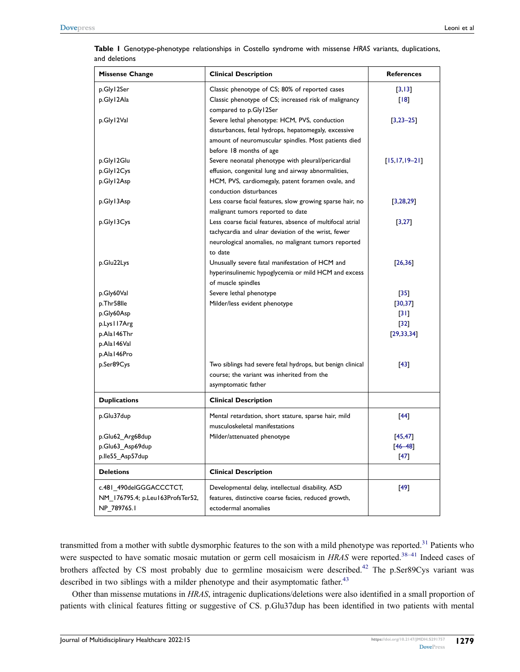| <b>Missense Change</b>           | <b>Clinical Description</b>                                | <b>References</b>   |
|----------------------------------|------------------------------------------------------------|---------------------|
| p.Gly12Ser                       | Classic phenotype of CS; 80% of reported cases             | [3, 13]             |
| p.Gly12Ala                       | Classic phenotype of CS; increased risk of malignancy      | [18]                |
|                                  | compared to p.Gly12Ser                                     |                     |
| p.Gly12Val                       | Severe lethal phenotype: HCM, PVS, conduction              | $[3,23-25]$         |
|                                  | disturbances, fetal hydrops, hepatomegaly, excessive       |                     |
|                                  | amount of neuromuscular spindles. Most patients died       |                     |
|                                  | before 18 months of age                                    |                     |
| p.Gly12Glu                       | Severe neonatal phenotype with pleural/pericardial         | $[15, 17, 19 - 21]$ |
| p.Gly12Cys                       | effusion, congenital lung and airway abnormalities,        |                     |
| p.Gly12Asp                       | HCM, PVS, cardiomegaly, patent foramen ovale, and          |                     |
|                                  | conduction disturbances                                    |                     |
| p.Gly13Asp                       | Less coarse facial features, slow growing sparse hair, no  | [3, 28, 29]         |
|                                  | malignant tumors reported to date                          |                     |
| p.Gly13Cys                       | Less coarse facial features, absence of multifocal atrial  | [3, 27]             |
|                                  | tachycardia and ulnar deviation of the wrist, fewer        |                     |
|                                  | neurological anomalies, no malignant tumors reported       |                     |
|                                  | to date                                                    |                     |
| p.Glu22Lys                       | Unusually severe fatal manifestation of HCM and            | [26, 36]            |
|                                  | hyperinsulinemic hypoglycemia or mild HCM and excess       |                     |
|                                  | of muscle spindles                                         |                     |
| p.Gly60Val                       | Severe lethal phenotype                                    | $[35]$              |
| p.Thr58lle                       | Milder/less evident phenotype                              | [30, 37]            |
| p.Gly60Asp                       |                                                            | $[31]$              |
| p.Lys I I 7Arg                   |                                                            | $[32]$              |
| p.Ala146Thr                      |                                                            | [29, 33, 34]        |
| p.Ala I 46Val                    |                                                            |                     |
| p.Ala I 46Pro                    |                                                            |                     |
| p.Ser89Cys                       | Two siblings had severe fetal hydrops, but benign clinical | [43]                |
|                                  | course; the variant was inherited from the                 |                     |
|                                  | asymptomatic father                                        |                     |
| <b>Duplications</b>              | <b>Clinical Description</b>                                |                     |
| p.Glu37dup                       | Mental retardation, short stature, sparse hair, mild       | [44]                |
|                                  | musculoskeletal manifestations                             |                     |
| p.Glu62_Arg68dup                 | Milder/attenuated phenotype                                | [45, 47]            |
| p.Glu63_Asp69dup                 |                                                            | $[46 - 48]$         |
| p.lle55 Asp57dup                 |                                                            | $[47]$              |
| <b>Deletions</b>                 | <b>Clinical Description</b>                                |                     |
| c.481 490delGGGACCCTCT,          | Developmental delay, intellectual disability, ASD          | [49]                |
| NM 176795.4; p.Leu163ProfsTer52, | features, distinctive coarse facies, reduced growth,       |                     |
| NP 789765.1                      | ectodermal anomalies                                       |                     |

<span id="page-2-0"></span>**Table 1** Genotype-phenotype relationships in Costello syndrome with missense *HRAS* variants, duplications, and deletions

<span id="page-2-8"></span><span id="page-2-7"></span><span id="page-2-6"></span><span id="page-2-5"></span><span id="page-2-4"></span><span id="page-2-3"></span><span id="page-2-2"></span><span id="page-2-1"></span>transmitted from a mother with subtle dysmorphic features to the son with a mild phenotype was reported.<sup>[31](#page-16-1)</sup> Patients who were suspected to have somatic mosaic mutation or germ cell mosaicism in *HRAS* were reported.<sup>38-[41](#page-16-9)</sup> Indeed cases of brothers affected by CS most probably due to germline mosaicism were described.<sup>[42](#page-16-10)</sup> The p.Ser89Cys variant was described in two siblings with a milder phenotype and their asymptomatic father.<sup>[43](#page-16-11)</sup>

Other than missense mutations in *HRAS*, intragenic duplications/deletions were also identified in a small proportion of patients with clinical features fitting or suggestive of CS. p.Glu37dup has been identified in two patients with mental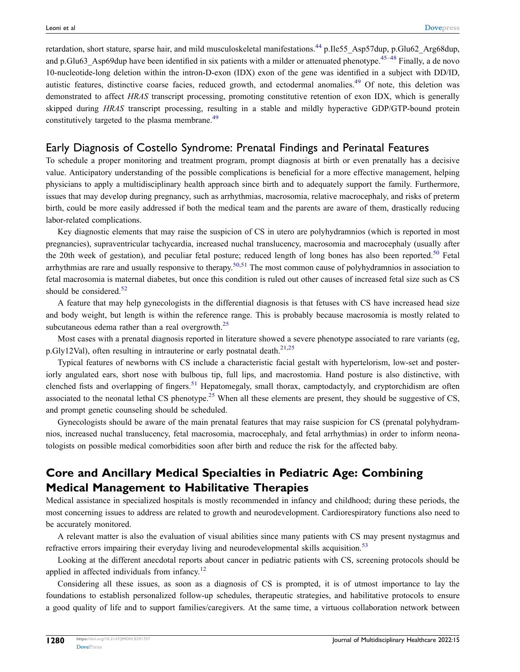retardation, short stature, sparse hair, and mild musculoskeletal manifestations.<sup>[44](#page-16-12)</sup> p.Ile55\_Asp57dup, p.Glu62\_Arg68dup, and p.Glu63 Asp69dup have been identified in six patients with a milder or attenuated phenotype.<sup>[45–](#page-16-13)[48](#page-16-16)</sup> Finally, a de novo 10-nucleotide-long deletion within the intron-D-exon (IDX) exon of the gene was identified in a subject with DD/ID, autistic features, distinctive coarse facies, reduced growth, and ectodermal anomalies.<sup>[49](#page-16-17)</sup> Of note, this deletion was demonstrated to affect *HRAS* transcript processing, promoting constitutive retention of exon IDX, which is generally skipped during *HRAS* transcript processing, resulting in a stable and mildly hyperactive GDP/GTP-bound protein constitutively targeted to the plasma membrane.<sup>[49](#page-16-17)</sup>

### Early Diagnosis of Costello Syndrome: Prenatal Findings and Perinatal Features

To schedule a proper monitoring and treatment program, prompt diagnosis at birth or even prenatally has a decisive value. Anticipatory understanding of the possible complications is beneficial for a more effective management, helping physicians to apply a multidisciplinary health approach since birth and to adequately support the family. Furthermore, issues that may develop during pregnancy, such as arrhythmias, macrosomia, relative macrocephaly, and risks of preterm birth, could be more easily addressed if both the medical team and the parents are aware of them, drastically reducing labor-related complications.

<span id="page-3-3"></span>Key diagnostic elements that may raise the suspicion of CS in utero are polyhydramnios (which is reported in most pregnancies), supraventricular tachycardia, increased nuchal translucency, macrosomia and macrocephaly (usually after the 20th week of gestation), and peculiar fetal posture; reduced length of long bones has also been reported.<sup>[50](#page-16-18)</sup> Fetal arrhythmias are rare and usually responsive to therapy.<sup>[50,](#page-16-18)[51](#page-16-19)</sup> The most common cause of polyhydramnios in association to fetal macrosomia is maternal diabetes, but once this condition is ruled out other causes of increased fetal size such as CS should be considered. $52$ 

<span id="page-3-5"></span>A feature that may help gynecologists in the differential diagnosis is that fetuses with CS have increased head size and body weight, but length is within the reference range. This is probably because macrosomia is mostly related to subcutaneous edema rather than a real overgrowth.<sup>[25](#page-15-19)</sup>

<span id="page-3-1"></span>Most cases with a prenatal diagnosis reported in literature showed a severe phenotype associated to rare variants (eg, p.Gly12Val), often resulting in intrauterine or early postnatal death.<sup>[21](#page-15-16)[,25](#page-15-19)</sup>

<span id="page-3-4"></span>Typical features of newborns with CS include a characteristic facial gestalt with hypertelorism, low-set and posteriorly angulated ears, short nose with bulbous tip, full lips, and macrostomia. Hand posture is also distinctive, with clenched fists and overlapping of fingers.<sup>[51](#page-16-19)</sup> Hepatomegaly, small thorax, camptodactyly, and cryptorchidism are often associated to the neonatal lethal CS phenotype.<sup>[25](#page-15-19)</sup> When all these elements are present, they should be suggestive of CS, and prompt genetic counseling should be scheduled.

<span id="page-3-2"></span>Gynecologists should be aware of the main prenatal features that may raise suspicion for CS (prenatal polyhydramnios, increased nuchal translucency, fetal macrosomia, macrocephaly, and fetal arrhythmias) in order to inform neonatologists on possible medical comorbidities soon after birth and reduce the risk for the affected baby.

## **Core and Ancillary Medical Specialties in Pediatric Age: Combining Medical Management to Habilitative Therapies**

Medical assistance in specialized hospitals is mostly recommended in infancy and childhood; during these periods, the most concerning issues to address are related to growth and neurodevelopment. Cardiorespiratory functions also need to be accurately monitored.

<span id="page-3-6"></span>A relevant matter is also the evaluation of visual abilities since many patients with CS may present nystagmus and refractive errors impairing their everyday living and neurodevelopmental skills acquisition.<sup>[53](#page-16-21)</sup>

<span id="page-3-0"></span>Looking at the different anecdotal reports about cancer in pediatric patients with CS, screening protocols should be applied in affected individuals from infancy.<sup>[12](#page-15-10)</sup>

Considering all these issues, as soon as a diagnosis of CS is prompted, it is of utmost importance to lay the foundations to establish personalized follow-up schedules, therapeutic strategies, and habilitative protocols to ensure a good quality of life and to support families/caregivers. At the same time, a virtuous collaboration network between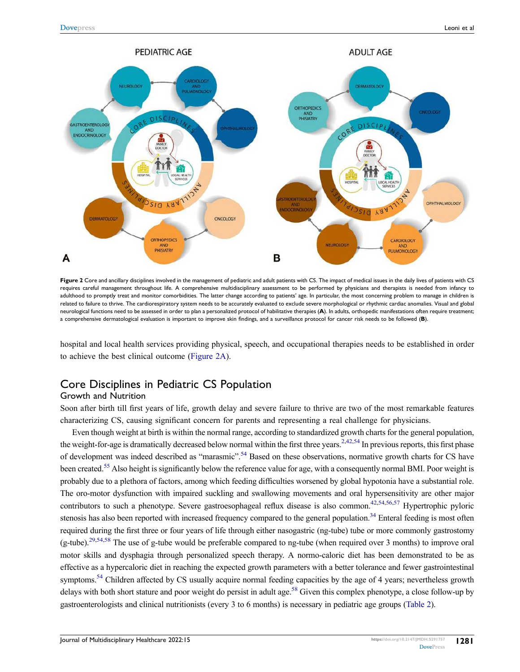<span id="page-4-0"></span>

**Figure 2** Core and ancillary disciplines involved in the management of pediatric and adult patients with CS. The impact of medical issues in the daily lives of patients with CS requires careful management throughout life. A comprehensive multidisciplinary assessment to be performed by physicians and therapists is needed from infancy to adulthood to promptly treat and monitor comorbidities. The latter change according to patients' age. In particular, the most concerning problem to manage in children is related to failure to thrive. The cardiorespiratory system needs to be accurately evaluated to exclude severe morphological or rhythmic cardiac anomalies. Visual and global neurological functions need to be assessed in order to plan a personalized protocol of habilitative therapies (**A**). In adults, orthopedic manifestations often require treatment; a comprehensive dermatological evaluation is important to improve skin findings, and a surveillance protocol for cancer risk needs to be followed (**B**).

hospital and local health services providing physical, speech, and occupational therapies needs to be established in order to achieve the best clinical outcome([Figure 2A](#page-4-0)).

### Core Disciplines in Pediatric CS Population

#### Growth and Nutrition

Soon after birth till first years of life, growth delay and severe failure to thrive are two of the most remarkable features characterizing CS, causing significant concern for parents and representing a real challenge for physicians.

<span id="page-4-4"></span><span id="page-4-3"></span><span id="page-4-2"></span><span id="page-4-1"></span>Even though weight at birth is within the normal range, according to standardized growth charts for the general population, the weight-for-age is dramatically decreased below normal within the first three years.<sup>[2,](#page-15-1)[42,](#page-16-10)[54](#page-16-22)</sup> In previous reports, this first phase of development was indeed described as "marasmic".<sup>[54](#page-16-22)</sup> Based on these observations, normative growth charts for CS have been created.[55](#page-16-23) Also height is significantly below the reference value for age, with a consequently normal BMI. Poor weight is probably due to a plethora of factors, among which feeding difficulties worsened by global hypotonia have a substantial role. The oro-motor dysfunction with impaired suckling and swallowing movements and oral hypersensitivity are other major contributors to such a phenotype. Severe gastroesophageal reflux disease is also common.<sup>[42,](#page-16-10)[54,](#page-16-22)[56,](#page-16-24)[57](#page-16-25)</sup> Hypertrophic pyloric stenosis has also been reported with increased frequency compared to the general population.<sup>[34](#page-16-4)</sup> Enteral feeding is most often required during the first three or four years of life through either nasogastric (ng-tube) tube or more commonly gastrostomy (g-tube).<sup>[29](#page-15-24),[54](#page-16-22)[,58](#page-16-26)</sup> The use of g-tube would be preferable compared to ng-tube (when required over 3 months) to improve oral motor skills and dysphagia through personalized speech therapy. A normo-caloric diet has been demonstrated to be as effective as a hypercaloric diet in reaching the expected growth parameters with a better tolerance and fewer gastrointestinal symptoms.<sup>[54](#page-16-22)</sup> Children affected by CS usually acquire normal feeding capacities by the age of 4 years; nevertheless growth delays with both short stature and poor weight do persist in adult age.<sup>[58](#page-16-26)</sup> Given this complex phenotype, a close follow-up by gastroenterologists and clinical nutritionists (every 3 to 6 months) is necessary in pediatric age groups [\(Table 2\)](#page-5-0).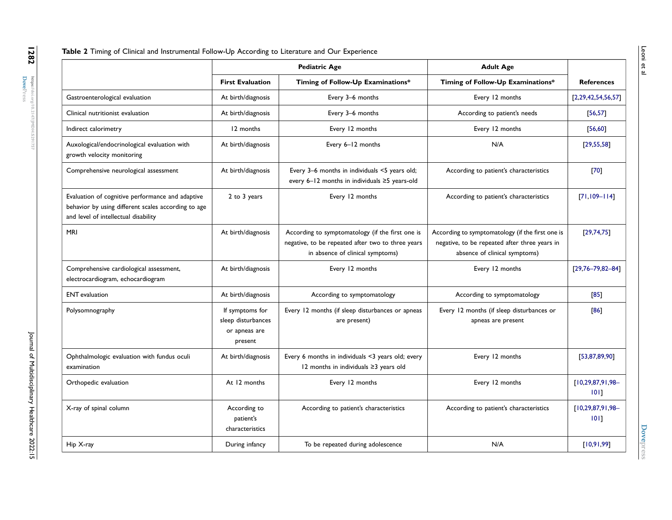<span id="page-5-10"></span><span id="page-5-9"></span><span id="page-5-8"></span><span id="page-5-7"></span><span id="page-5-6"></span><span id="page-5-5"></span><span id="page-5-4"></span><span id="page-5-3"></span><span id="page-5-2"></span><span id="page-5-1"></span><span id="page-5-0"></span>

|                                                                                                                                                 | <b>Pediatric Age</b>                                              |                                                                                                                                           | <b>Adult Age</b>                                                                                                                   |                                 |
|-------------------------------------------------------------------------------------------------------------------------------------------------|-------------------------------------------------------------------|-------------------------------------------------------------------------------------------------------------------------------------------|------------------------------------------------------------------------------------------------------------------------------------|---------------------------------|
|                                                                                                                                                 | <b>First Evaluation</b>                                           | Timing of Follow-Up Examinations*                                                                                                         | Timing of Follow-Up Examinations*                                                                                                  | <b>References</b>               |
| Gastroenterological evaluation                                                                                                                  | At birth/diagnosis                                                | Every 3-6 months                                                                                                                          | Every 12 months                                                                                                                    | [2, 29, 42, 54, 56, 57]         |
| Clinical nutritionist evaluation                                                                                                                | At birth/diagnosis                                                | Every 3-6 months                                                                                                                          | According to patient's needs                                                                                                       | [56, 57]                        |
| Indirect calorimetry                                                                                                                            | 12 months                                                         | Every 12 months                                                                                                                           | Every 12 months                                                                                                                    | [56, 60]                        |
| Auxological/endocrinological evaluation with<br>growth velocity monitoring                                                                      | At birth/diagnosis                                                | Every 6-12 months                                                                                                                         | N/A                                                                                                                                | [29, 55, 58]                    |
| Comprehensive neurological assessment                                                                                                           | At birth/diagnosis                                                | Every 3-6 months in individuals <5 years old;<br>every 6-12 months in individuals ≥5 years-old                                            | According to patient's characteristics                                                                                             | $[70]$                          |
| Evaluation of cognitive performance and adaptive<br>behavior by using different scales according to age<br>and level of intellectual disability | 2 to 3 years                                                      | Every 12 months                                                                                                                           | According to patient's characteristics                                                                                             | $[71, 109 - 114]$               |
| <b>MRI</b>                                                                                                                                      | At birth/diagnosis                                                | According to symptomatology (if the first one is<br>negative, to be repeated after two to three years<br>in absence of clinical symptoms) | According to symptomatology (if the first one is<br>negative, to be repeated after three years in<br>absence of clinical symptoms) | [29,74,75]                      |
| Comprehensive cardiological assessment,<br>electrocardiogram, echocardiogram                                                                    | At birth/diagnosis                                                | Every 12 months                                                                                                                           | Every 12 months                                                                                                                    | $[29,76 - 79,82 - 84]$          |
| <b>ENT</b> evaluation                                                                                                                           | At birth/diagnosis                                                | According to symptomatology                                                                                                               | According to symptomatology                                                                                                        | [85]                            |
| Polysomnography                                                                                                                                 | If symptoms for<br>sleep disturbances<br>or apneas are<br>present | Every 12 months (if sleep disturbances or apneas<br>are present)                                                                          | Every 12 months (if sleep disturbances or<br>apneas are present                                                                    | [86]                            |
| Ophthalmologic evaluation with fundus oculi<br>examination                                                                                      | At birth/diagnosis                                                | Every 6 months in individuals <3 years old; every<br>12 months in individuals ≥3 years old                                                | Every 12 months                                                                                                                    | [53, 87, 89, 90]                |
| Orthopedic evaluation                                                                                                                           | At 12 months                                                      | Every 12 months                                                                                                                           | Every 12 months                                                                                                                    | $[10, 29, 87, 91, 98 -$<br>101  |
| X-ray of spinal column                                                                                                                          | According to<br>patient's<br>characteristics                      | According to patient's characteristics                                                                                                    | According to patient's characteristics                                                                                             | $[10, 29, 87, 91, 98 -$<br>1011 |
| Hip X-ray                                                                                                                                       | During infancy                                                    | To be repeated during adolescence                                                                                                         | N/A                                                                                                                                | [10,91,99]                      |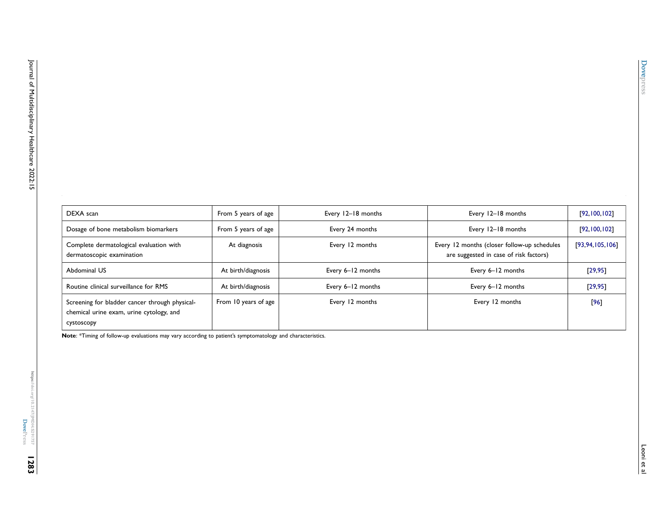| DEXA scan                                                                                                | From 5 years of age  | Every 12-18 months | Every 12-18 months                                                                    | [92, 100, 102]  |
|----------------------------------------------------------------------------------------------------------|----------------------|--------------------|---------------------------------------------------------------------------------------|-----------------|
| Dosage of bone metabolism biomarkers                                                                     | From 5 years of age  | Every 24 months    | Every 12-18 months                                                                    | [92, 100, 102]  |
| Complete dermatological evaluation with<br>dermatoscopic examination                                     | At diagnosis         | Every 12 months    | Every 12 months (closer follow-up schedules<br>are suggested in case of risk factors) | [93,94,105,106] |
| Abdominal US                                                                                             | At birth/diagnosis   | Every 6-12 months  | Every 6-12 months                                                                     | [29, 95]        |
| Routine clinical surveillance for RMS                                                                    | At birth/diagnosis   | Every 6-12 months  | Every 6-12 months                                                                     | [29, 95]        |
| Screening for bladder cancer through physical-<br>chemical urine exam, urine cytology, and<br>cystoscopy | From 10 years of age | Every 12 months    | Every 12 months                                                                       | [96]            |

<span id="page-6-3"></span><span id="page-6-2"></span><span id="page-6-1"></span><span id="page-6-0"></span>**Note**: \*Timing of follow-up evaluations may vary according to patient's symptomatology and characteristics.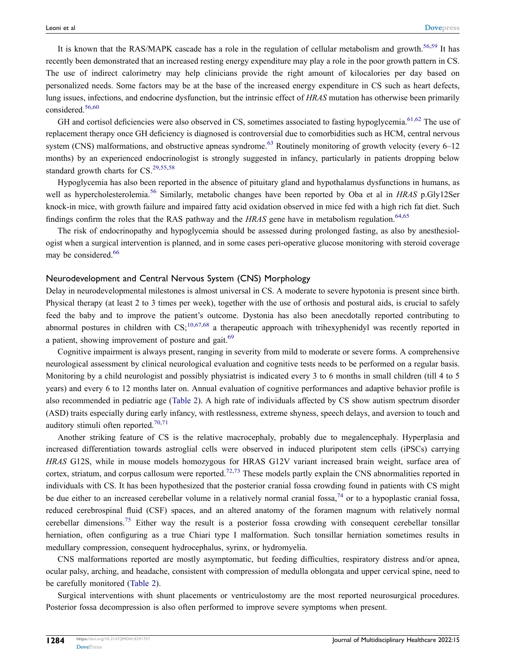<span id="page-7-0"></span>It is known that the RAS/MAPK cascade has a role in the regulation of cellular metabolism and growth.<sup>[56,](#page-16-24)[59](#page-16-29)</sup> It has recently been demonstrated that an increased resting energy expenditure may play a role in the poor growth pattern in CS. The use of indirect calorimetry may help clinicians provide the right amount of kilocalories per day based on personalized needs. Some factors may be at the base of the increased energy expenditure in CS such as heart defects, lung issues, infections, and endocrine dysfunction, but the intrinsic effect of *HRAS* mutation has otherwise been primarily considered.[56](#page-16-24)[,60](#page-16-30)

<span id="page-7-2"></span><span id="page-7-1"></span>GH and cortisol deficiencies were also observed in CS, sometimes associated to fasting hypoglycemia.<sup>[61](#page-17-0),[62](#page-17-1)</sup> The use of replacement therapy once GH deficiency is diagnosed is controversial due to comorbidities such as HCM, central nervous system (CNS) malformations, and obstructive apneas syndrome.<sup>[63](#page-17-16)</sup> Routinely monitoring of growth velocity (every  $6-12$ ) months) by an experienced endocrinologist is strongly suggested in infancy, particularly in patients dropping below standard growth charts for  $CS$ .<sup>[29](#page-15-24)[,55,](#page-16-23)[58](#page-16-26)</sup>

Hypoglycemia has also been reported in the absence of pituitary gland and hypothalamus dysfunctions in humans, as well as hypercholesterolemia.[56](#page-16-24) Similarly, metabolic changes have been reported by Oba et al in *HRAS* p.Gly12Ser knock-in mice, with growth failure and impaired fatty acid oxidation observed in mice fed with a high rich fat diet. Such findings confirm the roles that the RAS pathway and the *HRAS* gene have in metabolism regulation.<sup>[64,](#page-17-17)[65](#page-17-2)</sup>

<span id="page-7-4"></span><span id="page-7-3"></span>The risk of endocrinopathy and hypoglycemia should be assessed during prolonged fasting, as also by anesthesiologist when a surgical intervention is planned, and in some cases peri-operative glucose monitoring with steroid coverage may be considered.<sup>[66](#page-17-18)</sup>

#### Neurodevelopment and Central Nervous System (CNS) Morphology

Delay in neurodevelopmental milestones is almost universal in CS. A moderate to severe hypotonia is present since birth. Physical therapy (at least 2 to 3 times per week), together with the use of orthosis and postural aids, is crucial to safely feed the baby and to improve the patient's outcome. Dystonia has also been anecdotally reported contributing to abnormal postures in children with  $CS<sub>10,67,68</sub>$  $CS<sub>10,67,68</sub>$  $CS<sub>10,67,68</sub>$  $CS<sub>10,67,68</sub>$  $CS<sub>10,67,68</sub>$  a therapeutic approach with trihexyphenidyl was recently reported in a patient, showing improvement of posture and gait.<sup>[69](#page-17-21)</sup>

<span id="page-7-6"></span><span id="page-7-5"></span>Cognitive impairment is always present, ranging in severity from mild to moderate or severe forms. A comprehensive neurological assessment by clinical neurological evaluation and cognitive tests needs to be performed on a regular basis. Monitoring by a child neurologist and possibly physiatrist is indicated every 3 to 6 months in small children (till 4 to 5 years) and every 6 to 12 months later on. Annual evaluation of cognitive performances and adaptive behavior profile is also recommended in pediatric age([Table 2\)](#page-5-0). A high rate of individuals affected by CS show autism spectrum disorder (ASD) traits especially during early infancy, with restlessness, extreme shyness, speech delays, and aversion to touch and auditory stimuli often reported.[70,](#page-17-22)[71](#page-17-23)

<span id="page-7-7"></span>Another striking feature of CS is the relative macrocephaly, probably due to megalencephaly. Hyperplasia and increased differentiation towards astroglial cells were observed in induced pluripotent stem cells (iPSCs) carrying *HRAS* G12S, while in mouse models homozygous for HRAS G12V variant increased brain weight, surface area of cortex, striatum, and corpus callosum were reported.<sup>[72,](#page-17-24)[73](#page-17-25)</sup> These models partly explain the CNS abnormalities reported in individuals with CS. It has been hypothesized that the posterior cranial fossa crowding found in patients with CS might be due either to an increased cerebellar volume in a relatively normal cranial fossa,<sup>[74](#page-17-26)</sup> or to a hypoplastic cranial fossa, reduced cerebrospinal fluid (CSF) spaces, and an altered anatomy of the foramen magnum with relatively normal cerebellar dimensions.<sup>[75](#page-17-7)</sup> Either way the result is a posterior fossa crowding with consequent cerebellar tonsillar herniation, often configuring as a true Chiari type I malformation. Such tonsillar herniation sometimes results in medullary compression, consequent hydrocephalus, syrinx, or hydromyelia.

CNS malformations reported are mostly asymptomatic, but feeding difficulties, respiratory distress and/or apnea, ocular palsy, arching, and headache, consistent with compression of medulla oblongata and upper cervical spine, need to be carefully monitored [\(Table 2\)](#page-5-0).

Surgical interventions with shunt placements or ventriculostomy are the most reported neurosurgical procedures. Posterior fossa decompression is also often performed to improve severe symptoms when present.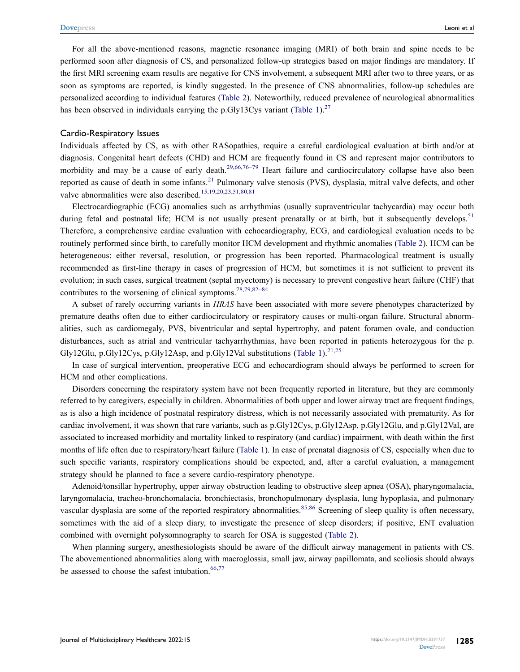For all the above-mentioned reasons, magnetic resonance imaging (MRI) of both brain and spine needs to be performed soon after diagnosis of CS, and personalized follow-up strategies based on major findings are mandatory. If the first MRI screening exam results are negative for CNS involvement, a subsequent MRI after two to three years, or as soon as symptoms are reported, is kindly suggested. In the presence of CNS abnormalities, follow-up schedules are personalized according to individual features [\(Table 2\)](#page-5-0). Noteworthily, reduced prevalence of neurological abnormalities hasbeen observed in individuals carrying the p.Gly13Cys variant ([Table 1](#page-2-0)).<sup>[27](#page-15-22)</sup>

#### Cardio-Respiratory Issues

Individuals affected by CS, as with other RASopathies, require a careful cardiological evaluation at birth and/or at diagnosis. Congenital heart defects (CHD) and HCM are frequently found in CS and represent major contributors to morbidity and may be a cause of early death.<sup>[29](#page-15-24)[,66,](#page-17-18)[76–](#page-17-8)[79](#page-17-27)</sup> Heart failure and cardiocirculatory collapse have also been reported as cause of death in some infants.<sup>[21](#page-15-16)</sup> Pulmonary valve stenosis (PVS), dysplasia, mitral valve defects, and other valve abnormalities were also described.<sup>[15](#page-15-14)[,19,](#page-15-15)[20,](#page-15-26)[23](#page-15-18)[,51,](#page-16-19)[80](#page-17-28),[81](#page-17-29)</sup>

<span id="page-8-0"></span>Electrocardiographic (ECG) anomalies such as arrhythmias (usually supraventricular tachycardia) may occur both during fetal and postnatal life; HCM is not usually present prenatally or at birth, but it subsequently develops.<sup>[51](#page-16-19)</sup> Therefore, a comprehensive cardiac evaluation with echocardiography, ECG, and cardiological evaluation needs to be routinely performed since birth, to carefully monitor HCM development and rhythmic anomalies [\(Table 2](#page-5-0)). HCM can be heterogeneous: either reversal, resolution, or progression has been reported. Pharmacological treatment is usually recommended as first-line therapy in cases of progression of HCM, but sometimes it is not sufficient to prevent its evolution; in such cases, surgical treatment (septal myectomy) is necessary to prevent congestive heart failure (CHF) that contributes to the worsening of clinical symptoms.<sup>[78,](#page-17-30)[79](#page-17-27),[82–](#page-17-31)[84](#page-17-32)</sup>

<span id="page-8-2"></span>A subset of rarely occurring variants in *HRAS* have been associated with more severe phenotypes characterized by premature deaths often due to either cardiocirculatory or respiratory causes or multi-organ failure. Structural abnormalities, such as cardiomegaly, PVS, biventricular and septal hypertrophy, and patent foramen ovale, and conduction disturbances, such as atrial and ventricular tachyarrhythmias, have been reported in patients heterozygous for the p. Gly12Glu, p.Gly12Cys, p.Gly12Asp, and p.Gly12Val substitutions [\(Table 1\)](#page-2-0).<sup>[21,](#page-15-16)[25](#page-15-19)</sup>

In case of surgical intervention, preoperative ECG and echocardiogram should always be performed to screen for HCM and other complications.

Disorders concerning the respiratory system have not been frequently reported in literature, but they are commonly referred to by caregivers, especially in children. Abnormalities of both upper and lower airway tract are frequent findings, as is also a high incidence of postnatal respiratory distress, which is not necessarily associated with prematurity. As for cardiac involvement, it was shown that rare variants, such as p.Gly12Cys, p.Gly12Asp, p.Gly12Glu, and p.Gly12Val, are associated to increased morbidity and mortality linked to respiratory (and cardiac) impairment, with death within the first months of life often due to respiratory/heart failure [\(Table 1\)](#page-2-0). In case of prenatal diagnosis of CS, especially when due to such specific variants, respiratory complications should be expected, and, after a careful evaluation, a management strategy should be planned to face a severe cardio-respiratory phenotype.

Adenoid/tonsillar hypertrophy, upper airway obstruction leading to obstructive sleep apnea (OSA), pharyngomalacia, laryngomalacia, tracheo-bronchomalacia, bronchiectasis, bronchopulmonary dysplasia, lung hypoplasia, and pulmonary vascular dysplasia are some of the reported respiratory abnormalities.<sup>[85](#page-17-33),[86](#page-17-34)</sup> Screening of sleep quality is often necessary, sometimes with the aid of a sleep diary, to investigate the presence of sleep disorders; if positive, ENT evaluation combined with overnight polysomnography to search for OSA is suggested [\(Table 2\)](#page-5-0).

<span id="page-8-1"></span>When planning surgery, anesthesiologists should be aware of the difficult airway management in patients with CS. The abovementioned abnormalities along with macroglossia, small jaw, airway papillomata, and scoliosis should always be assessed to choose the safest intubation.  $66,77$  $66,77$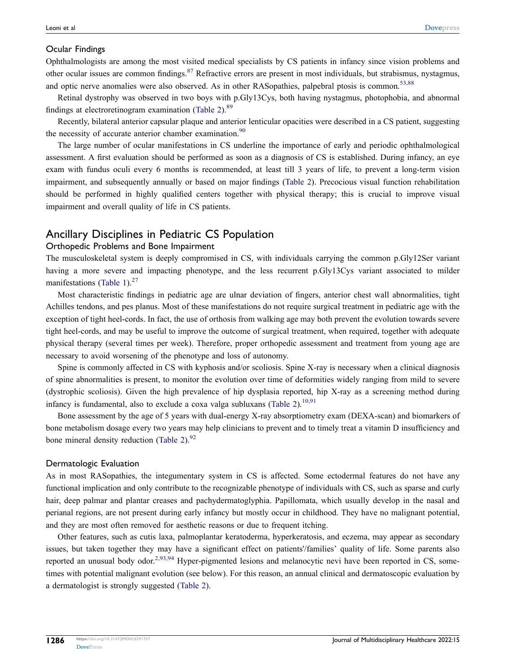#### Ocular Findings

Ophthalmologists are among the most visited medical specialists by CS patients in infancy since vision problems and other ocular issues are common findings.<sup>[87](#page-17-35)</sup> Refractive errors are present in most individuals, but strabismus, nystagmus, and optic nerve anomalies were also observed. As in other RASopathies, palpebral ptosis is common.<sup>[53](#page-16-21)[,88](#page-17-36)</sup>

<span id="page-9-0"></span>Retinal dystrophy was observed in two boys with p.Gly13Cys, both having nystagmus, photophobia, and abnormal findings at electroretinogram examination [\(Table 2\)](#page-5-0). $89$ 

Recently, bilateral anterior capsular plaque and anterior lenticular opacities were described in a CS patient, suggesting the necessity of accurate anterior chamber examination.<sup>[90](#page-17-38)</sup>

The large number of ocular manifestations in CS underline the importance of early and periodic ophthalmological assessment. A first evaluation should be performed as soon as a diagnosis of CS is established. During infancy, an eye exam with fundus oculi every 6 months is recommended, at least till 3 years of life, to prevent a long-term vision impairment, and subsequently annually or based on major findings [\(Table 2\)](#page-5-0). Precocious visual function rehabilitation should be performed in highly qualified centers together with physical therapy; this is crucial to improve visual impairment and overall quality of life in CS patients.

### Ancillary Disciplines in Pediatric CS Population

#### Orthopedic Problems and Bone Impairment

The musculoskeletal system is deeply compromised in CS, with individuals carrying the common p.Gly12Ser variant having a more severe and impacting phenotype, and the less recurrent p.Gly13Cys variant associated to milder manifestations([Table 1](#page-2-0)). $^{27}$  $^{27}$  $^{27}$ 

Most characteristic findings in pediatric age are ulnar deviation of fingers, anterior chest wall abnormalities, tight Achilles tendons, and pes planus. Most of these manifestations do not require surgical treatment in pediatric age with the exception of tight heel-cords. In fact, the use of orthosis from walking age may both prevent the evolution towards severe tight heel-cords, and may be useful to improve the outcome of surgical treatment, when required, together with adequate physical therapy (several times per week). Therefore, proper orthopedic assessment and treatment from young age are necessary to avoid worsening of the phenotype and loss of autonomy.

Spine is commonly affected in CS with kyphosis and/or scoliosis. Spine X-ray is necessary when a clinical diagnosis of spine abnormalities is present, to monitor the evolution over time of deformities widely ranging from mild to severe (dystrophic scoliosis). Given the high prevalence of hip dysplasia reported, hip X-ray as a screening method during infancy is fundamental, also to exclude a coxa valga subluxans [\(Table 2\)](#page-5-0).<sup>[10](#page-15-9)[,91](#page-17-39)</sup>

Bone assessment by the age of 5 years with dual-energy X-ray absorptiometry exam (DEXA-scan) and biomarkers of bone metabolism dosage every two years may help clinicians to prevent and to timely treat a vitamin D insufficiency and bone mineral density reduction [\(Table 2\)](#page-5-0). $92$ 

#### Dermatologic Evaluation

As in most RASopathies, the integumentary system in CS is affected. Some ectodermal features do not have any functional implication and only contribute to the recognizable phenotype of individuals with CS, such as sparse and curly hair, deep palmar and plantar creases and pachydermatoglyphia. Papillomata, which usually develop in the nasal and perianal regions, are not present during early infancy but mostly occur in childhood. They have no malignant potential, and they are most often removed for aesthetic reasons or due to frequent itching.

Other features, such as cutis laxa, palmoplantar keratoderma, hyperkeratosis, and eczema, may appear as secondary issues, but taken together they may have a significant effect on patients'/families' quality of life. Some parents also reported an unusual body odor.<sup>[2](#page-15-1)[,93,](#page-17-41)[94](#page-18-12)</sup> Hyper-pigmented lesions and melanocytic nevi have been reported in CS, sometimes with potential malignant evolution (see below). For this reason, an annual clinical and dermatoscopic evaluation by a dermatologist is strongly suggested [\(Table 2\)](#page-5-0).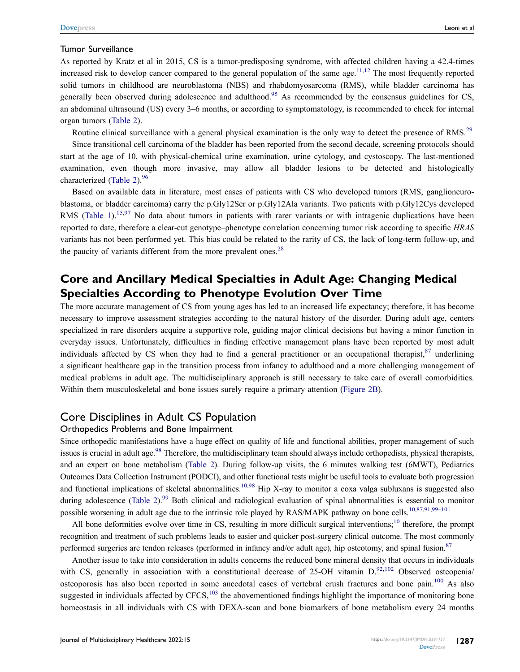#### Tumor Surveillance

<span id="page-10-0"></span>As reported by Kratz et al in 2015, CS is a tumor-predisposing syndrome, with affected children having a 42.4-times increased risk to develop cancer compared to the general population of the same age.  $^{11,12}$  $^{11,12}$  $^{11,12}$  $^{11,12}$  The most frequently reported solid tumors in childhood are neuroblastoma (NBS) and rhabdomyosarcoma (RMS), while bladder carcinoma has generally been observed during adolescence and adulthood.<sup>[95](#page-18-13)</sup> As recommended by the consensus guidelines for CS, an abdominal ultrasound (US) every 3–6 months, or according to symptomatology, is recommended to check for internal organ tumors [\(Table 2\)](#page-5-0).

Routine clinical surveillance with a general physical examination is the only way to detect the presence of RMS.<sup>[29](#page-15-24)</sup>

Since transitional cell carcinoma of the bladder has been reported from the second decade, screening protocols should start at the age of 10, with physical-chemical urine examination, urine cytology, and cystoscopy. The last-mentioned examination, even though more invasive, may allow all bladder lesions to be detected and histologically characterized([Table 2](#page-5-0)). $96$ 

<span id="page-10-1"></span>Based on available data in literature, most cases of patients with CS who developed tumors (RMS, ganglioneuroblastoma, or bladder carcinoma) carry the p.Gly12Ser or p.Gly12Ala variants. Two patients with p.Gly12Cys developed RMS([Table 1](#page-2-0)).<sup>[15,](#page-15-14)[97](#page-18-9)</sup> No data about tumors in patients with rarer variants or with intragenic duplications have been reported to date, therefore a clear-cut genotype–phenotype correlation concerning tumor risk according to specific *HRAS* variants has not been performed yet. This bias could be related to the rarity of CS, the lack of long-term follow-up, and the paucity of variants different from the more prevalent ones.<sup>[28](#page-15-23)</sup>

### **Core and Ancillary Medical Specialties in Adult Age: Changing Medical Specialties According to Phenotype Evolution Over Time**

The more accurate management of CS from young ages has led to an increased life expectancy; therefore, it has become necessary to improve assessment strategies according to the natural history of the disorder. During adult age, centers specialized in rare disorders acquire a supportive role, guiding major clinical decisions but having a minor function in everyday issues. Unfortunately, difficulties in finding effective management plans have been reported by most adult individuals affected by CS when they had to find a general practitioner or an occupational therapist, $87$  underlining a significant healthcare gap in the transition process from infancy to adulthood and a more challenging management of medical problems in adult age. The multidisciplinary approach is still necessary to take care of overall comorbidities. Within them musculoskeletal and bone issues surely require a primary attention [\(Figure 2B](#page-4-0)).

### Core Disciplines in Adult CS Population

#### Orthopedics Problems and Bone Impairment

Since orthopedic manifestations have a huge effect on quality of life and functional abilities, proper management of such issues is crucial in adult age.<sup>[98](#page-18-14)</sup> Therefore, the multidisciplinary team should always include orthopedists, physical therapists, and an expert on bone metabolism([Table 2](#page-5-0)). During follow-up visits, the 6 minutes walking test (6MWT), Pediatrics Outcomes Data Collection Instrument (PODCI), and other functional tests might be useful tools to evaluate both progression and functional implications of skeletal abnormalities.<sup>[10](#page-15-9),[98](#page-18-14)</sup> Hip X-ray to monitor a coxa valga subluxans is suggested also during adolescence [\(Table 2](#page-5-0)).<sup>[99](#page-18-15)</sup> Both clinical and radiological evaluation of spinal abnormalities is essential to monitor possible worsening in adult age due to the intrinsic role played by RAS/MAPK pathway on bone cells.<sup>[10,](#page-15-9)[87,](#page-17-35)[91,](#page-17-39)[99–](#page-18-15)[101](#page-18-16)</sup>

All bone deformities evolve over time in CS, resulting in more difficult surgical interventions;<sup>[10](#page-15-9)</sup> therefore, the prompt recognition and treatment of such problems leads to easier and quicker post-surgery clinical outcome. The most commonly performed surgeries are tendon releases (performed in infancy and/or adult age), hip osteotomy, and spinal fusion.<sup>[87](#page-17-35)</sup>

<span id="page-10-2"></span>Another issue to take into consideration in adults concerns the reduced bone mineral density that occurs in individuals with CS, generally in association with a constitutional decrease of 25-OH vitamin D.<sup>[92,](#page-17-40)[102](#page-18-17)</sup> Observed osteopenia/ osteoporosis has also been reported in some anecdotal cases of vertebral crush fractures and bone pain.<sup>[100](#page-18-18)</sup> As also suggested in individuals affected by  $CFCS$ ,  $^{103}$  $^{103}$  $^{103}$  the abovementioned findings highlight the importance of monitoring bone homeostasis in all individuals with CS with DEXA-scan and bone biomarkers of bone metabolism every 24 months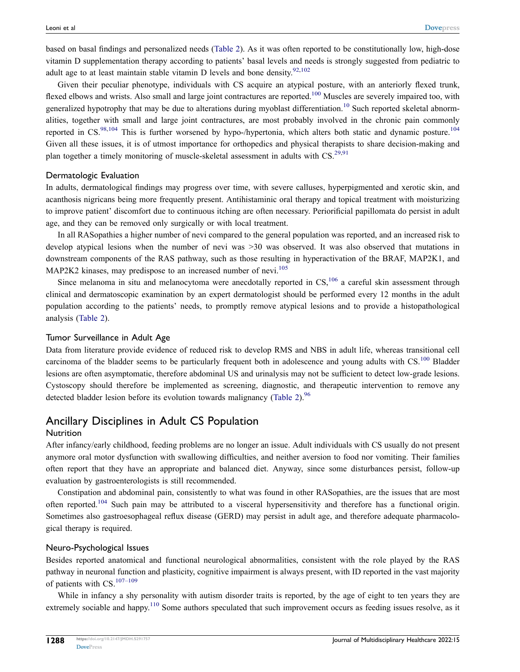based on basal findings and personalized needs [\(Table 2\)](#page-5-0). As it was often reported to be constitutionally low, high-dose vitamin D supplementation therapy according to patients' basal levels and needs is strongly suggested from pediatric to adult age to at least maintain stable vitamin D levels and bone density. $92,102$  $92,102$ 

Given their peculiar phenotype, individuals with CS acquire an atypical posture, with an anteriorly flexed trunk, flexed elbows and wrists. Also small and large joint contractures are reported.<sup>[100](#page-18-18)</sup> Muscles are severely impaired too, with generalized hypotrophy that may be due to alterations during myoblast differentiation.<sup>[10](#page-15-9)</sup> Such reported skeletal abnormalities, together with small and large joint contractures, are most probably involved in the chronic pain commonly reported in CS.<sup>[98,](#page-18-14)[104](#page-18-20)</sup> This is further worsened by hypo-/hypertonia, which alters both static and dynamic posture.<sup>104</sup> Given all these issues, it is of utmost importance for orthopedics and physical therapists to share decision-making and plan together a timely monitoring of muscle-skeletal assessment in adults with  $CS<sup>29,91</sup>$  $CS<sup>29,91</sup>$  $CS<sup>29,91</sup>$  $CS<sup>29,91</sup>$ 

#### Dermatologic Evaluation

In adults, dermatological findings may progress over time, with severe calluses, hyperpigmented and xerotic skin, and acanthosis nigricans being more frequently present. Antihistaminic oral therapy and topical treatment with moisturizing to improve patient' discomfort due to continuous itching are often necessary. Periorificial papillomata do persist in adult age, and they can be removed only surgically or with local treatment.

In all RASopathies a higher number of nevi compared to the general population was reported, and an increased risk to develop atypical lesions when the number of nevi was >30 was observed. It was also observed that mutations in downstream components of the RAS pathway, such as those resulting in hyperactivation of the BRAF, MAP2K1, and MAP2K2 kinases, may predispose to an increased number of nevi.<sup>[105](#page-18-21)</sup>

Since melanoma in situ and melanocytoma were anecdotally reported in  $CS<sub>106</sub>$  $CS<sub>106</sub>$  $CS<sub>106</sub>$  a careful skin assessment through clinical and dermatoscopic examination by an expert dermatologist should be performed every 12 months in the adult population according to the patients' needs, to promptly remove atypical lesions and to provide a histopathological analysis([Table 2](#page-5-0)).

#### Tumor Surveillance in Adult Age

Data from literature provide evidence of reduced risk to develop RMS and NBS in adult life, whereas transitional cell carcinoma of the bladder seems to be particularly frequent both in adolescence and young adults with CS.<sup>[100](#page-18-18)</sup> Bladder lesions are often asymptomatic, therefore abdominal US and urinalysis may not be sufficient to detect low-grade lesions. Cystoscopy should therefore be implemented as screening, diagnostic, and therapeutic intervention to remove any detected bladder lesion before its evolution towards malignancy [\(Table 2](#page-5-0)).<sup>[96](#page-18-8)</sup>

### Ancillary Disciplines in Adult CS Population

#### **Nutrition**

After infancy/early childhood, feeding problems are no longer an issue. Adult individuals with CS usually do not present anymore oral motor dysfunction with swallowing difficulties, and neither aversion to food nor vomiting. Their families often report that they have an appropriate and balanced diet. Anyway, since some disturbances persist, follow-up evaluation by gastroenterologists is still recommended.

<span id="page-11-0"></span>Constipation and abdominal pain, consistently to what was found in other RASopathies, are the issues that are most often reported.<sup>[104](#page-18-20)</sup> Such pain may be attributed to a visceral hypersensitivity and therefore has a functional origin. Sometimes also gastroesophageal reflux disease (GERD) may persist in adult age, and therefore adequate pharmacological therapy is required.

#### Neuro-Psychological Issues

Besides reported anatomical and functional neurological abnormalities, consistent with the role played by the RAS pathway in neuronal function and plasticity, cognitive impairment is always present, with ID reported in the vast majority of patients with CS.[107–](#page-18-23)[109](#page-18-24)

<span id="page-11-2"></span><span id="page-11-1"></span>While in infancy a shy personality with autism disorder traits is reported, by the age of eight to ten years they are extremely sociable and happy.<sup>[110](#page-18-25)</sup> Some authors speculated that such improvement occurs as feeding issues resolve, as it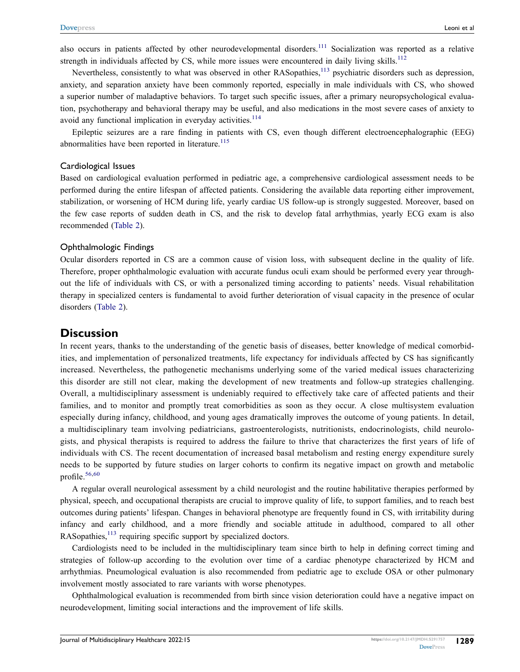<span id="page-12-1"></span><span id="page-12-0"></span>also occurs in patients affected by other neurodevelopmental disorders.<sup>[111](#page-18-26)</sup> Socialization was reported as a relative strength in individuals affected by CS, while more issues were encountered in daily living skills.<sup>[112](#page-18-27)</sup>

Nevertheless, consistently to what was observed in other RASopathies,<sup>[113](#page-18-28)</sup> psychiatric disorders such as depression, anxiety, and separation anxiety have been commonly reported, especially in male individuals with CS, who showed a superior number of maladaptive behaviors. To target such specific issues, after a primary neuropsychological evaluation, psychotherapy and behavioral therapy may be useful, and also medications in the most severe cases of anxiety to avoid any functional implication in everyday activities.<sup>[114](#page-18-29)</sup>

<span id="page-12-4"></span><span id="page-12-3"></span>Epileptic seizures are a rare finding in patients with CS, even though different electroencephalographic (EEG) abnormalities have been reported in literature. $115$ 

#### Cardiological Issues

Based on cardiological evaluation performed in pediatric age, a comprehensive cardiological assessment needs to be performed during the entire lifespan of affected patients. Considering the available data reporting either improvement, stabilization, or worsening of HCM during life, yearly cardiac US follow-up is strongly suggested. Moreover, based on the few case reports of sudden death in CS, and the risk to develop fatal arrhythmias, yearly ECG exam is also recommended [\(Table 2\)](#page-5-0).

#### Ophthalmologic Findings

Ocular disorders reported in CS are a common cause of vision loss, with subsequent decline in the quality of life. Therefore, proper ophthalmologic evaluation with accurate fundus oculi exam should be performed every year throughout the life of individuals with CS, or with a personalized timing according to patients' needs. Visual rehabilitation therapy in specialized centers is fundamental to avoid further deterioration of visual capacity in the presence of ocular disorders [\(Table 2\)](#page-5-0).

#### **Discussion**

In recent years, thanks to the understanding of the genetic basis of diseases, better knowledge of medical comorbidities, and implementation of personalized treatments, life expectancy for individuals affected by CS has significantly increased. Nevertheless, the pathogenetic mechanisms underlying some of the varied medical issues characterizing this disorder are still not clear, making the development of new treatments and follow-up strategies challenging. Overall, a multidisciplinary assessment is undeniably required to effectively take care of affected patients and their families, and to monitor and promptly treat comorbidities as soon as they occur. A close multisystem evaluation especially during infancy, childhood, and young ages dramatically improves the outcome of young patients. In detail, a multidisciplinary team involving pediatricians, gastroenterologists, nutritionists, endocrinologists, child neurologists, and physical therapists is required to address the failure to thrive that characterizes the first years of life of individuals with CS. The recent documentation of increased basal metabolism and resting energy expenditure surely needs to be supported by future studies on larger cohorts to confirm its negative impact on growth and metabolic profile.<sup>[56,](#page-16-24)[60](#page-16-30)</sup>

A regular overall neurological assessment by a child neurologist and the routine habilitative therapies performed by physical, speech, and occupational therapists are crucial to improve quality of life, to support families, and to reach best outcomes during patients' lifespan. Changes in behavioral phenotype are frequently found in CS, with irritability during infancy and early childhood, and a more friendly and sociable attitude in adulthood, compared to all other RASopathies,<sup>[113](#page-18-28)</sup> requiring specific support by specialized doctors.

<span id="page-12-2"></span>Cardiologists need to be included in the multidisciplinary team since birth to help in defining correct timing and strategies of follow-up according to the evolution over time of a cardiac phenotype characterized by HCM and arrhythmias. Pneumological evaluation is also recommended from pediatric age to exclude OSA or other pulmonary involvement mostly associated to rare variants with worse phenotypes.

Ophthalmological evaluation is recommended from birth since vision deterioration could have a negative impact on neurodevelopment, limiting social interactions and the improvement of life skills.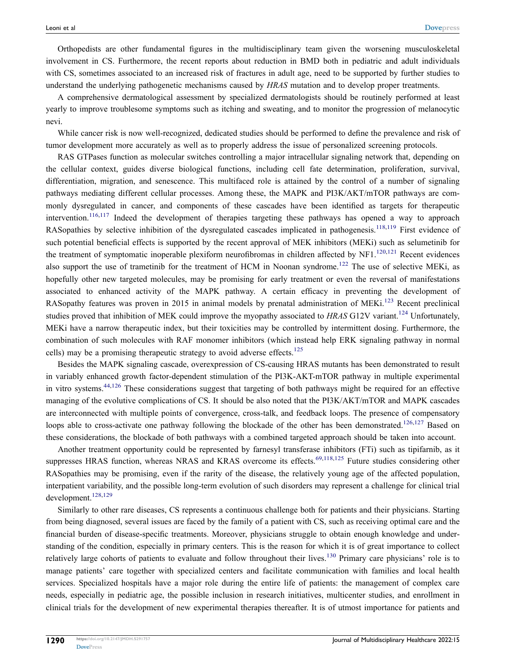Orthopedists are other fundamental figures in the multidisciplinary team given the worsening musculoskeletal involvement in CS. Furthermore, the recent reports about reduction in BMD both in pediatric and adult individuals with CS, sometimes associated to an increased risk of fractures in adult age, need to be supported by further studies to understand the underlying pathogenetic mechanisms caused by *HRAS* mutation and to develop proper treatments.

A comprehensive dermatological assessment by specialized dermatologists should be routinely performed at least yearly to improve troublesome symptoms such as itching and sweating, and to monitor the progression of melanocytic nevi.

While cancer risk is now well-recognized, dedicated studies should be performed to define the prevalence and risk of tumor development more accurately as well as to properly address the issue of personalized screening protocols.

<span id="page-13-3"></span><span id="page-13-2"></span><span id="page-13-0"></span>RAS GTPases function as molecular switches controlling a major intracellular signaling network that, depending on the cellular context, guides diverse biological functions, including cell fate determination, proliferation, survival, differentiation, migration, and senescence. This multifaced role is attained by the control of a number of signaling pathways mediating different cellular processes. Among these, the MAPK and PI3K/AKT/mTOR pathways are commonly dysregulated in cancer, and components of these cascades have been identified as targets for therapeutic intervention.<sup>[116,](#page-18-31)[117](#page-18-32)</sup> Indeed the development of therapies targeting these pathways has opened a way to approach RASopathies by selective inhibition of the dysregulated cascades implicated in pathogenesis.<sup>[118,](#page-18-33)[119](#page-18-34)</sup> First evidence of such potential beneficial effects is supported by the recent approval of MEK inhibitors (MEKi) such as selumetinib for the treatment of symptomatic inoperable plexiform neurofibromas in children affected by NF1.<sup>[120](#page-18-35)[,121](#page-18-36)</sup> Recent evidences also support the use of trametinib for the treatment of HCM in Noonan syndrome.<sup>[122](#page-18-37)</sup> The use of selective MEKi, as hopefully other new targeted molecules, may be promising for early treatment or even the reversal of manifestations associated to enhanced activity of the MAPK pathway. A certain efficacy in preventing the development of RASopathy features was proven in 2015 in animal models by prenatal administration of MEKi.<sup>[123](#page-18-38)</sup> Recent preclinical studies proved that inhibition of MEK could improve the myopathy associated to *HRAS* G12V variant.<sup>[124](#page-18-39)</sup> Unfortunately, MEKi have a narrow therapeutic index, but their toxicities may be controlled by intermittent dosing. Furthermore, the combination of such molecules with RAF monomer inhibitors (which instead help ERK signaling pathway in normal cells) may be a promising therapeutic strategy to avoid adverse effects.<sup>[125](#page-18-40)</sup>

<span id="page-13-6"></span><span id="page-13-5"></span><span id="page-13-4"></span>Besides the MAPK signaling cascade, overexpression of CS-causing HRAS mutants has been demonstrated to result in variably enhanced growth factor-dependent stimulation of the PI3K-AKT-mTOR pathway in multiple experimental in vitro systems.  $44,126$  $44,126$  These considerations suggest that targeting of both pathways might be required for an effective managing of the evolutive complications of CS. It should be also noted that the PI3K/AKT/mTOR and MAPK cascades are interconnected with multiple points of convergence, cross-talk, and feedback loops. The presence of compensatory loops able to cross-activate one pathway following the blockade of the other has been demonstrated.<sup>[126](#page-18-41),[127](#page-18-42)</sup> Based on these considerations, the blockade of both pathways with a combined targeted approach should be taken into account.

<span id="page-13-7"></span><span id="page-13-1"></span>Another treatment opportunity could be represented by farnesyl transferase inhibitors (FTi) such as tipifarnib, as it suppresses HRAS function, whereas NRAS and KRAS overcome its effects.<sup>[69](#page-17-21)[,118](#page-18-33),[125](#page-18-40)</sup> Future studies considering other RASopathies may be promising, even if the rarity of the disease, the relatively young age of the affected population, interpatient variability, and the possible long-term evolution of such disorders may represent a challenge for clinical trial development.<sup>[128](#page-19-2)[,129](#page-19-3)</sup>

<span id="page-13-9"></span><span id="page-13-8"></span>Similarly to other rare diseases, CS represents a continuous challenge both for patients and their physicians. Starting from being diagnosed, several issues are faced by the family of a patient with CS, such as receiving optimal care and the financial burden of disease-specific treatments. Moreover, physicians struggle to obtain enough knowledge and understanding of the condition, especially in primary centers. This is the reason for which it is of great importance to collect relatively large cohorts of patients to evaluate and follow throughout their lives.[130](#page-19-4) Primary care physicians' role is to manage patients' care together with specialized centers and facilitate communication with families and local health services. Specialized hospitals have a major role during the entire life of patients: the management of complex care needs, especially in pediatric age, the possible inclusion in research initiatives, multicenter studies, and enrollment in clinical trials for the development of new experimental therapies thereafter. It is of utmost importance for patients and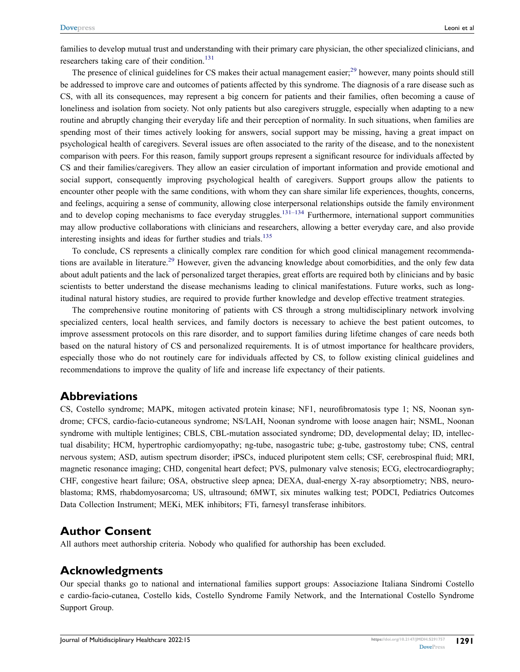families to develop mutual trust and understanding with their primary care physician, the other specialized clinicians, and researchers taking care of their condition.<sup>[131](#page-19-5)</sup>

The presence of clinical guidelines for CS makes their actual management easier;<sup>[29](#page-15-24)</sup> however, many points should still be addressed to improve care and outcomes of patients affected by this syndrome. The diagnosis of a rare disease such as CS, with all its consequences, may represent a big concern for patients and their families, often becoming a cause of loneliness and isolation from society. Not only patients but also caregivers struggle, especially when adapting to a new routine and abruptly changing their everyday life and their perception of normality. In such situations, when families are spending most of their times actively looking for answers, social support may be missing, having a great impact on psychological health of caregivers. Several issues are often associated to the rarity of the disease, and to the nonexistent comparison with peers. For this reason, family support groups represent a significant resource for individuals affected by CS and their families/caregivers. They allow an easier circulation of important information and provide emotional and social support, consequently improving psychological health of caregivers. Support groups allow the patients to encounter other people with the same conditions, with whom they can share similar life experiences, thoughts, concerns, and feelings, acquiring a sense of community, allowing close interpersonal relationships outside the family environment and to develop coping mechanisms to face everyday struggles.<sup>[131–](#page-19-5)[134](#page-19-6)</sup> Furthermore, international support communities may allow productive collaborations with clinicians and researchers, allowing a better everyday care, and also provide interesting insights and ideas for further studies and trials.<sup>[135](#page-19-7)</sup>

<span id="page-14-1"></span><span id="page-14-0"></span>To conclude, CS represents a clinically complex rare condition for which good clinical management recommenda-tions are available in literature.<sup>[29](#page-15-24)</sup> However, given the advancing knowledge about comorbidities, and the only few data about adult patients and the lack of personalized target therapies, great efforts are required both by clinicians and by basic scientists to better understand the disease mechanisms leading to clinical manifestations. Future works, such as longitudinal natural history studies, are required to provide further knowledge and develop effective treatment strategies.

The comprehensive routine monitoring of patients with CS through a strong multidisciplinary network involving specialized centers, local health services, and family doctors is necessary to achieve the best patient outcomes, to improve assessment protocols on this rare disorder, and to support families during lifetime changes of care needs both based on the natural history of CS and personalized requirements. It is of utmost importance for healthcare providers, especially those who do not routinely care for individuals affected by CS, to follow existing clinical guidelines and recommendations to improve the quality of life and increase life expectancy of their patients.

### **Abbreviations**

CS, Costello syndrome; MAPK, mitogen activated protein kinase; NF1, neurofibromatosis type 1; NS, Noonan syndrome; CFCS, cardio-facio-cutaneous syndrome; NS/LAH, Noonan syndrome with loose anagen hair; NSML, Noonan syndrome with multiple lentigines; CBLS, CBL-mutation associated syndrome; DD, developmental delay; ID, intellectual disability; HCM, hypertrophic cardiomyopathy; ng-tube, nasogastric tube; g-tube, gastrostomy tube; CNS, central nervous system; ASD, autism spectrum disorder; iPSCs, induced pluripotent stem cells; CSF, cerebrospinal fluid; MRI, magnetic resonance imaging; CHD, congenital heart defect; PVS, pulmonary valve stenosis; ECG, electrocardiography; CHF, congestive heart failure; OSA, obstructive sleep apnea; DEXA, dual-energy X-ray absorptiometry; NBS, neuroblastoma; RMS, rhabdomyosarcoma; US, ultrasound; 6MWT, six minutes walking test; PODCI, Pediatrics Outcomes Data Collection Instrument; MEKi, MEK inhibitors; FTi, farnesyl transferase inhibitors.

### **Author Consent**

All authors meet authorship criteria. Nobody who qualified for authorship has been excluded.

### **Acknowledgments**

Our special thanks go to national and international families support groups: Associazione Italiana Sindromi Costello e cardio-facio-cutanea, Costello kids, Costello Syndrome Family Network, and the International Costello Syndrome Support Group.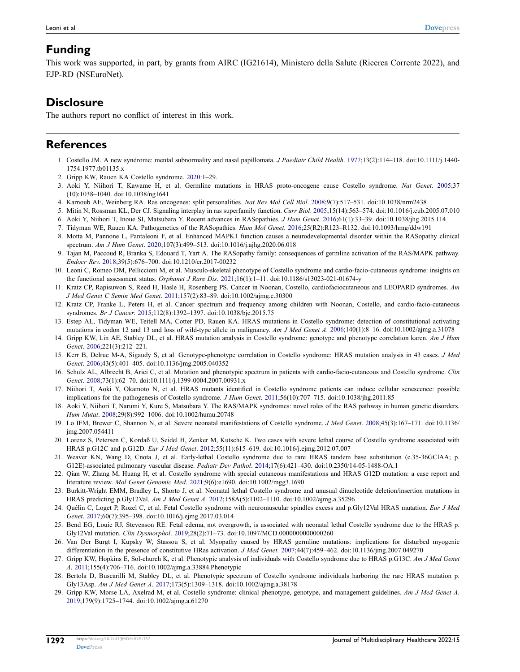### <span id="page-15-25"></span>**Funding**

This work was supported, in part, by grants from AIRC (IG21614), Ministero della Salute (Ricerca Corrente 2022), and EJP-RD (NSEuroNet).

## **Disclosure**

<span id="page-15-27"></span>The authors report no conflict of interest in this work.

### **References**

- <span id="page-15-0"></span>1. Costello JM. A new syndrome: mental subnormality and nasal papillomata. *J Paediatr Child Health*. [1977;](#page-0-3)13(2):114–118. doi:[10.1111/j.1440-](https://doi.org/10.1111/j.1440-1754.1977.tb01135.x) [1754.1977.tb01135.x](https://doi.org/10.1111/j.1440-1754.1977.tb01135.x)
- <span id="page-15-1"></span>2. Gripp KW, Rauen KA Costello syndrome. [2020:](#page-0-3)1–29.
- <span id="page-15-2"></span>3. Aoki Y, Niihori T, Kawame H, et al. Germline mutations in HRAS proto-oncogene cause Costello syndrome. *Nat Genet*. [2005](#page-0-4);37 (10):1038–1040. doi:[10.1038/ng1641](https://doi.org/10.1038/ng1641)
- <span id="page-15-3"></span>4. Karnoub AE, Weinberg RA. Ras oncogenes: split personalities. *Nat Rev Mol Cell Biol*. [2008;](#page-0-5)9(7):517–531. doi:[10.1038/nrm2438](https://doi.org/10.1038/nrm2438)
- <span id="page-15-4"></span>5. Mitin N, Rossman KL, Der CJ. Signaling interplay in ras superfamily function. *Curr Biol*. [2005](#page-0-5);15(14):563–574. doi:[10.1016/j.cub.2005.07.010](https://doi.org/10.1016/j.cub.2005.07.010)
- <span id="page-15-5"></span>6. Aoki Y, Niihori T, Inoue SI, Matsubara Y. Recent advances in RASopathies. *J Hum Genet*. [2016](#page-0-6);61(1):33–39. doi:[10.1038/jhg.2015.114](https://doi.org/10.1038/jhg.2015.114)
- <span id="page-15-6"></span>7. Tidyman WE, Rauen KA. Pathogenetics of the RASopathies. *Hum Mol Genet*. [2016](#page-0-7);25(R2):R123–R132. doi:[10.1093/hmg/ddw191](https://doi.org/10.1093/hmg/ddw191)
- <span id="page-15-7"></span>8. Motta M, Pannone L, Pantaleoni F, et al. Enhanced MAPK1 function causes a neurodevelopmental disorder within the RASopathy clinical spectrum. *Am J Hum Genet*. [2020;](#page-0-6)107(3):499–513. doi:[10.1016/j.ajhg.2020.06.018](https://doi.org/10.1016/j.ajhg.2020.06.018)
- <span id="page-15-8"></span>9. Tajan M, Paccoud R, Branka S, Edouard T, Yart A. The RASopathy family: consequences of germline activation of the RAS/MAPK pathway. *Endocr Rev*. [2018;](#page-0-6)39(5):676–700. doi:[10.1210/er.2017-00232](https://doi.org/10.1210/er.2017-00232)
- <span id="page-15-9"></span>10. Leoni C, Romeo DM, Pelliccioni M, et al. Musculo-skeletal phenotype of Costello syndrome and cardio-facio-cutaneous syndrome: insights on the functional assessment status. *Orphanet J Rare Dis*. [2021](#page-0-8);16(1):1–11. doi:[10.1186/s13023-021-01674-y](https://doi.org/10.1186/s13023-021-01674-y)
- <span id="page-15-28"></span>11. Kratz CP, Rapisuwon S, Reed H, Hasle H, Rosenberg PS. Cancer in Noonan, Costello, cardiofaciocutaneous and LEOPARD syndromes. *Am J Med Genet C Semin Med Genet*. [2011;](#page-10-0)157(2):83–89. doi:[10.1002/ajmg.c.30300](https://doi.org/10.1002/ajmg.c.30300)
- <span id="page-15-10"></span>12. Kratz CP, Franke L, Peters H, et al. Cancer spectrum and frequency among children with Noonan, Costello, and cardio-facio-cutaneous syndromes. *Br J Cancer*. [2015](#page-3-0);112(8):1392–1397. doi:[10.1038/bjc.2015.75](https://doi.org/10.1038/bjc.2015.75)
- <span id="page-15-11"></span>13. Estep AL, Tidyman WE, Teitell MA, Cotter PD, Rauen KA. HRAS mutations in Costello syndrome: detection of constitutional activating mutations in codon 12 and 13 and loss of wild-type allele in malignancy. *Am J Med Genet A*. [2006;](#page-1-1)140(1):8–16. doi:[10.1002/ajmg.a.31078](https://doi.org/10.1002/ajmg.a.31078)
- 14. Gripp KW, Lin AE, Stabley DL, et al. HRAS mutation analysis in Costello syndrome: genotype and phenotype correlation karen. *Am J Hum Genet*. 2006;221(3):212–221.
- <span id="page-15-14"></span>15. Kerr B, Delrue M-A, Sigaudy S, et al. Genotype-phenotype correlation in Costello syndrome: HRAS mutation analysis in 43 cases. *J Med Genet*. [2006](#page-1-2);43(5):401–405. doi:[10.1136/jmg.2005.040352](https://doi.org/10.1136/jmg.2005.040352)
- 16. Schulz AL, Albrecht B, Arici C, et al. Mutation and phenotypic spectrum in patients with cardio-facio-cutaneous and Costello syndrome. *Clin Genet*. 2008;73(1):62–70. doi:[10.1111/j.1399-0004.2007.00931.x](https://doi.org/10.1111/j.1399-0004.2007.00931.x)
- <span id="page-15-12"></span>17. Niihori T, Aoki Y, Okamoto N, et al. HRAS mutants identified in Costello syndrome patients can induce cellular senescence: possible implications for the pathogenesis of Costello syndrome. *J Hum Genet*. [2011;](#page-1-3)56(10):707–715. doi:[10.1038/jhg.2011.85](https://doi.org/10.1038/jhg.2011.85)
- <span id="page-15-13"></span>18. Aoki Y, Niihori T, Narumi Y, Kure S, Matsubara Y. The RAS/MAPK syndromes: novel roles of the RAS pathway in human genetic disorders. *Hum Mutat*. [2008](#page-1-4);29(8):992–1006. doi:[10.1002/humu.20748](https://doi.org/10.1002/humu.20748)
- <span id="page-15-15"></span>19. Lo IFM, Brewer C, Shannon N, et al. Severe neonatal manifestations of Costello syndrome. *J Med Genet*. [2008;](#page-1-2)45(3):167–171. doi:[10.1136/](https://doi.org/10.1136/jmg.2007.054411) [jmg.2007.054411](https://doi.org/10.1136/jmg.2007.054411)
- <span id="page-15-26"></span>20. Lorenz S, Petersen C, Kordaß U, Seidel H, Zenker M, Kutsche K. Two cases with severe lethal course of Costello syndrome associated with HRAS p.G12C and p.G12D. *Eur J Med Genet*. [2012;](#page-8-0)55(11):615–619. doi:[10.1016/j.ejmg.2012.07.007](https://doi.org/10.1016/j.ejmg.2012.07.007)
- <span id="page-15-16"></span>21. Weaver KN, Wang D, Cnota J, et al. Early-lethal Costello syndrome due to rare HRAS tandem base substitution (c.35-36GClAA; p. G12E)-associated pulmonary vascular disease. *Pediatr Dev Pathol*. [2014](#page-3-1);17(6):421–430. doi:[10.2350/14-05-1488-OA.1](https://doi.org/10.2350/14-05-1488-OA.1)
- <span id="page-15-17"></span>22. Qian W, Zhang M, Huang H, et al. Costello syndrome with special cutaneous manifestations and HRAS G12D mutation: a case report and literature review. *Mol Genet Genomic Med*. [2021](#page-1-5);9(6):e1690. doi:[10.1002/mgg3.1690](https://doi.org/10.1002/mgg3.1690)
- <span id="page-15-18"></span>23. Burkitt-Wright EMM, Bradley L, Shorto J, et al. Neonatal lethal Costello syndrome and unusual dinucleotide deletion/insertion mutations in HRAS predicting p.Gly12Val. *Am J Med Genet A*. [2012](#page-1-6);158A(5):1102–1110. doi:[10.1002/ajmg.a.35296](https://doi.org/10.1002/ajmg.a.35296)
- <span id="page-15-20"></span>24. Quélin C, Loget P, Rozel C, et al. Fetal Costello syndrome with neuromuscular spindles excess and p.Gly12Val HRAS mutation. *Eur J Med Genet*. [2017](#page-1-7);60(7):395–398. doi:[10.1016/j.ejmg.2017.03.014](https://doi.org/10.1016/j.ejmg.2017.03.014)
- <span id="page-15-19"></span>25. Bend EG, Louie RJ, Stevenson RE. Fetal edema, not overgrowth, is associated with neonatal lethal Costello syndrome due to the HRAS p. Gly12Val mutation. *Clin Dysmorphol*. [2019](#page-3-2);28(2):71–73. doi:[10.1097/MCD.0000000000000260](https://doi.org/10.1097/MCD.0000000000000260)
- <span id="page-15-21"></span>26. Van Der Burgt I, Kupsky W, Stassou S, et al. Myopathy caused by HRAS germline mutations: implications for disturbed myogenic differentiation in the presence of constitutive HRas activation. *J Med Genet*. [2007](#page-1-8);44(7):459–462. doi:[10.1136/jmg.2007.049270](https://doi.org/10.1136/jmg.2007.049270)
- <span id="page-15-22"></span>27. Gripp KW, Hopkins E, Sol-church K, et al. Phenotypic analysis of individuals with Costello syndrome due to HRAS p.G13C. *Am J Med Genet A*. [2011;](#page-1-9)155(4):706–716. doi:[10.1002/ajmg.a.33884.Phenotypic](https://doi.org/10.1002/ajmg.a.33884.Phenotypic)
- <span id="page-15-23"></span>28. Bertola D, Buscarilli M, Stabley DL, et al. Phenotypic spectrum of Costello syndrome individuals harboring the rare HRAS mutation p. Gly13Asp. *Am J Med Genet A*. [2017;](#page-1-10)173(5):1309–1318. doi:[10.1002/ajmg.a.38178](https://doi.org/10.1002/ajmg.a.38178)
- <span id="page-15-24"></span>29. Gripp KW, Morse LA, Axelrad M, et al. Costello syndrome: clinical phenotype, genotype, and management guidelines. *Am J Med Genet A*. [2019](#page-1-11);179(9):1725–1744. doi:[10.1002/ajmg.a.61270](https://doi.org/10.1002/ajmg.a.61270)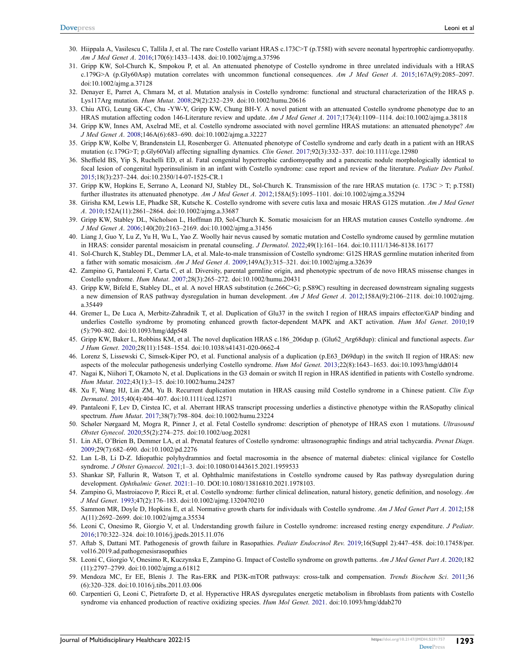- <span id="page-16-0"></span>30. Hiippala A, Vasilescu C, Tallila J, et al. The rare Costello variant HRAS c.173C>T (p.T58I) with severe neonatal hypertrophic cardiomyopathy. *Am J Med Genet A*. [2016;](#page-1-12)170(6):1433–1438. doi:[10.1002/ajmg.a.37596](https://doi.org/10.1002/ajmg.a.37596)
- <span id="page-16-1"></span>31. Gripp KW, Sol-Church K, Smpokou P, et al. An attenuated phenotype of Costello syndrome in three unrelated individuals with a HRAS c.179G>A (p.Gly60Asp) mutation correlates with uncommon functional consequences. *Am J Med Genet A*. [2015;](#page-1-13)167A(9):2085–2097. doi:[10.1002/ajmg.a.37128](https://doi.org/10.1002/ajmg.a.37128)
- <span id="page-16-2"></span>32. Denayer E, Parret A, Chmara M, et al. Mutation analysis in Costello syndrome: functional and structural characterization of the HRAS p. Lys117Arg mutation. *Hum Mutat*. [2008;](#page-1-13)29(2):232–239. doi:[10.1002/humu.20616](https://doi.org/10.1002/humu.20616)
- <span id="page-16-27"></span><span id="page-16-3"></span>33. Chiu ATG, Leung GK-C, Chu -YW-Y, Gripp KW, Chung BH-Y. A novel patient with an attenuated Costello syndrome phenotype due to an HRAS mutation affecting codon 146-Literature review and update. *Am J Med Genet A*. [2017;](#page-1-11)173(4):1109–1114. doi:[10.1002/ajmg.a.38118](https://doi.org/10.1002/ajmg.a.38118)
- <span id="page-16-4"></span>34. Gripp KW, Innes AM, Axelrad ME, et al. Costello syndrome associated with novel germline HRAS mutations: an attenuated phenotype? *Am J Med Genet A*. [2008;](#page-1-11)146A(6):683–690. doi:[10.1002/ajmg.a.32227](https://doi.org/10.1002/ajmg.a.32227)
- <span id="page-16-5"></span>35. Gripp KW, Kolbe V, Brandenstein LI, Rosenberger G. Attenuated phenotype of Costello syndrome and early death in a patient with an HRAS mutation (c.179G>T; p.Gly60Val) affecting signalling dynamics. *Clin Genet*. [2017;](#page-1-14)92(3):332–337. doi:[10.1111/cge.12980](https://doi.org/10.1111/cge.12980)
- <span id="page-16-6"></span>36. Sheffield BS, Yip S, Ruchelli ED, et al. Fatal congenital hypertrophic cardiomyopathy and a pancreatic nodule morphologically identical to focal lesion of congenital hyperinsulinism in an infant with Costello syndrome: case report and review of the literature. *Pediatr Dev Pathol*. [2015](#page-1-8);18(3):237–244. doi:[10.2350/14-07-1525-CR.1](https://doi.org/10.2350/14-07-1525-CR.1)
- <span id="page-16-7"></span>37. Gripp KW, Hopkins E, Serrano A, Leonard NJ, Stabley DL, Sol-Church K. Transmission of the rare HRAS mutation (c. 173C > T; p.T58I) further illustrates its attenuated phenotype. *Am J Med Genet A*. [2012;](#page-1-15)158A(5):1095–1101. doi:[10.1002/ajmg.a.35294](https://doi.org/10.1002/ajmg.a.35294)
- <span id="page-16-8"></span>38. Girisha KM, Lewis LE, Phadke SR, Kutsche K. Costello syndrome with severe cutis laxa and mosaic HRAS G12S mutation. *Am J Med Genet A*. [2010;](#page-2-1)152A(11):2861–2864. doi:[10.1002/ajmg.a.33687](https://doi.org/10.1002/ajmg.a.33687)
- 39. Gripp KW, Stabley DL, Nicholson L, Hoffman JD, Sol-Church K. Somatic mosaicism for an HRAS mutation causes Costello syndrome. *Am J Med Genet A*. 2006;140(20):2163–2169. doi:[10.1002/ajmg.a.31456](https://doi.org/10.1002/ajmg.a.31456)
- 40. Liang J, Guo Y, Lu Z, Yu H, Wu L, Yao Z. Woolly hair nevus caused by somatic mutation and Costello syndrome caused by germline mutation in HRAS: consider parental mosaicism in prenatal counseling. *J Dermatol*. 2022;49(1):161–164. doi:[10.1111/1346-8138.16177](https://doi.org/10.1111/1346-8138.16177)
- <span id="page-16-9"></span>41. Sol-Church K, Stabley DL, Demmer LA, et al. Male-to-male transmission of Costello syndrome: G12S HRAS germline mutation inherited from a father with somatic mosaicism. *Am J Med Genet A*. 2009;149A(3):315–321. doi:[10.1002/ajmg.a.32639](https://doi.org/10.1002/ajmg.a.32639)
- <span id="page-16-10"></span>42. Zampino G, Pantaleoni F, Carta C, et al. Diversity, parental germline origin, and phenotypic spectrum of de novo HRAS missense changes in Costello syndrome. *Hum Mutat*. [2007;](#page-2-2)28(3):265–272. doi:[10.1002/humu.20431](https://doi.org/10.1002/humu.20431)
- <span id="page-16-11"></span>43. Gripp KW, Bifeld E, Stabley DL, et al. A novel HRAS substitution (c.266C>G; p.S89C) resulting in decreased downstream signaling suggests a new dimension of RAS pathway dysregulation in human development. *Am J Med Genet A*. [2012](#page-2-3);158A(9):2106–2118. doi:[10.1002/ajmg.](https://doi.org/10.1002/ajmg.a.35449) [a.35449](https://doi.org/10.1002/ajmg.a.35449)
- <span id="page-16-28"></span><span id="page-16-12"></span>44. Gremer L, De Luca A, Merbitz-Zahradnik T, et al. Duplication of Glu37 in the switch I region of HRAS impairs effector/GAP binding and underlies Costello syndrome by promoting enhanced growth factor-dependent MAPK and AKT activation. *Hum Mol Genet*. [2010](#page-2-4);19 (5):790–802. doi:[10.1093/hmg/ddp548](https://doi.org/10.1093/hmg/ddp548)
- <span id="page-16-13"></span>45. Gripp KW, Baker L, Robbins KM, et al. The novel duplication HRAS c.186\_206dup p. (Glu62\_Arg68dup): clinical and functional aspects. *Eur J Hum Genet*. [2020;](#page-2-5)28(11):1548–1554. doi:[10.1038/s41431-020-0662-4](https://doi.org/10.1038/s41431-020-0662-4)
- <span id="page-16-15"></span>46. Lorenz S, Lissewski C, Simsek-Kiper PO, et al. Functional analysis of a duplication (p.E63\_D69dup) in the switch II region of HRAS: new aspects of the molecular pathogenesis underlying Costello syndrome. *Hum Mol Genet*. [2013;](#page-2-6)22(8):1643–1653. doi:[10.1093/hmg/ddt014](https://doi.org/10.1093/hmg/ddt014)
- <span id="page-16-14"></span>47. Nagai K, Niihori T, Okamoto N, et al. Duplications in the G3 domain or switch II region in HRAS identified in patients with Costello syndrome. *Hum Mutat*. [2022](#page-2-7);43(1):3–15. doi:[10.1002/humu.24287](https://doi.org/10.1002/humu.24287)
- <span id="page-16-16"></span>48. Xu F, Wang HJ, Lin ZM, Yu B. Recurrent duplication mutation in HRAS causing mild Costello syndrome in a Chinese patient. *Clin Exp Dermatol*. 2015;40(4):404–407. doi:[10.1111/ced.12571](https://doi.org/10.1111/ced.12571)
- <span id="page-16-17"></span>49. Pantaleoni F, Lev D, Cirstea IC, et al. Aberrant HRAS transcript processing underlies a distinctive phenotype within the RASopathy clinical spectrum. *Hum Mutat*. [2017](#page-2-8);38(7):798–804. doi:[10.1002/humu.23224](https://doi.org/10.1002/humu.23224)
- <span id="page-16-18"></span>50. Schøler Nørgaard M, Mogra R, Pinner J, et al. Fetal Costello syndrome: description of phenotype of HRAS exon 1 mutations. *Ultrasound Obstet Gynecol*. [2020](#page-3-3);55(2):274–275. doi:[10.1002/uog.20281](https://doi.org/10.1002/uog.20281)
- <span id="page-16-19"></span>51. Lin AE, O'Brien B, Demmer LA, et al. Prenatal features of Costello syndrome: ultrasonographic findings and atrial tachycardia. *Prenat Diagn*. [2009](#page-3-4);29(7):682–690. doi:[10.1002/pd.2276](https://doi.org/10.1002/pd.2276)
- <span id="page-16-20"></span>52. Lan L-B, Li D-Z. Idiopathic polyhydramnios and foetal macrosomia in the absence of maternal diabetes: clinical vigilance for Costello syndrome. *J Obstet Gynaecol*. [2021;](#page-3-5)1–3. doi:[10.1080/01443615.2021.1959533](https://doi.org/10.1080/01443615.2021.1959533)
- <span id="page-16-21"></span>53. Shankar SP, Fallurin R, Watson T, et al. Ophthalmic manifestations in Costello syndrome caused by Ras pathway dysregulation during development. *Ophthalmic Genet*. [2021](#page-3-6):1–10. DOI:[10.1080/13816810.2021.1978103.](https://doi.org/10.1080/13816810.2021.1978103)
- <span id="page-16-22"></span>54. Zampino G, Mastroiacovo P, Ricci R, et al. Costello syndrome: further clinical delineation, natural history, genetic definition, and nosology. *Am J Med Genet*. [1993](#page-4-1);47(2):176–183. doi:[10.1002/ajmg.1320470210](https://doi.org/10.1002/ajmg.1320470210)
- <span id="page-16-23"></span>55. Sammon MR, Doyle D, Hopkins E, et al. Normative growth charts for individuals with Costello syndrome. *Am J Med Genet Part A*. [2012](#page-4-2);158 A(11):2692–2699. doi:[10.1002/ajmg.a.35534](https://doi.org/10.1002/ajmg.a.35534)
- <span id="page-16-24"></span>56. Leoni C, Onesimo R, Giorgio V, et al. Understanding growth failure in Costello syndrome: increased resting energy expenditure. *J Pediatr*. [2016](#page-4-3);170:322–324. doi:[10.1016/j.jpeds.2015.11.076](https://doi.org/10.1016/j.jpeds.2015.11.076)
- <span id="page-16-25"></span>57. Aftab S, Dattani MT. Pathogenesis of growth failure in Rasopathies. *Pediatr Endocrinol Rev*. [2019](#page-4-3);16(Suppl 2):447–458. doi:[10.17458/per.](https://doi.org/10.17458/per.vol16.2019.ad.pathogenesisrasopathies) [vol16.2019.ad.pathogenesisrasopathies](https://doi.org/10.17458/per.vol16.2019.ad.pathogenesisrasopathies)
- <span id="page-16-26"></span>58. Leoni C, Giorgio V, Onesimo R, Kuczynska E, Zampino G. Impact of Costello syndrome on growth patterns. *Am J Med Genet Part A*. [2020](#page-4-4);182 (11):2797–2799. doi:[10.1002/ajmg.a.61812](https://doi.org/10.1002/ajmg.a.61812)
- <span id="page-16-29"></span>59. Mendoza MC, Er EE, Blenis J. The Ras-ERK and PI3K-mTOR pathways: cross-talk and compensation. *Trends Biochem Sci*. [2011](#page-7-0);36 (6):320–328. doi:[10.1016/j.tibs.2011.03.006](https://doi.org/10.1016/j.tibs.2011.03.006)
- <span id="page-16-30"></span>60. Carpentieri G, Leoni C, Pietraforte D, et al. Hyperactive HRAS dysregulates energetic metabolism in fibroblasts from patients with Costello syndrome via enhanced production of reactive oxidizing species. *Hum Mol Genet*. [2021](#page-5-1). doi:[10.1093/hmg/ddab270](https://doi.org/10.1093/hmg/ddab270)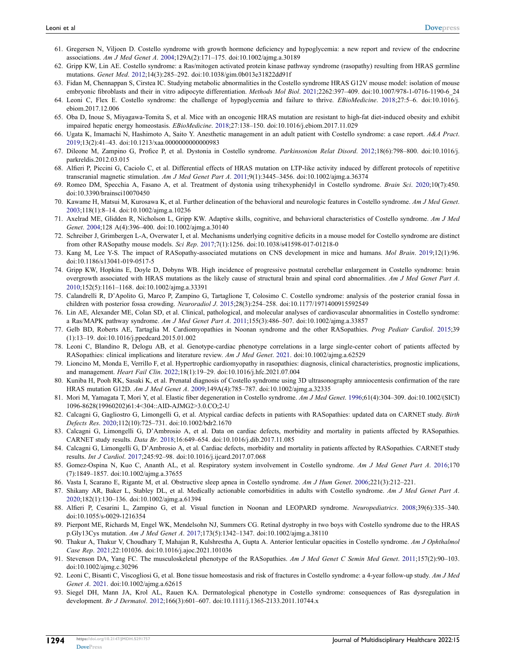- <span id="page-17-0"></span>61. Gregersen N, Viljoen D. Costello syndrome with growth hormone deficiency and hypoglycemia: a new report and review of the endocrine associations. *Am J Med Genet A*. [2004](#page-7-1);129A(2):171–175. doi:[10.1002/ajmg.a.30189](https://doi.org/10.1002/ajmg.a.30189)
- <span id="page-17-1"></span>62. Gripp KW, Lin AE. Costello syndrome: a Ras/mitogen activated protein kinase pathway syndrome (rasopathy) resulting from HRAS germline mutations. *Genet Med*. [2012](#page-7-1);14(3):285–292. doi:[10.1038/gim.0b013e31822dd91f](https://doi.org/10.1038/gim.0b013e31822dd91f)
- <span id="page-17-16"></span>63. Fidan M, Chennappan S, Cirstea IC. Studying metabolic abnormalities in the Costello syndrome HRAS G12V mouse model: isolation of mouse embryonic fibroblasts and their in vitro adipocyte differentiation. *Methods Mol Biol*. [2021](#page-7-2);2262:397–409. doi:[10.1007/978-1-0716-1190-6\\_24](https://doi.org/10.1007/978-1-0716-1190-6_24)
- <span id="page-17-17"></span>64. Leoni C, Flex E. Costello syndrome: the challenge of hypoglycemia and failure to thrive. *EBioMedicine*. [2018;](#page-7-3)27:5–6. doi:[10.1016/j.](https://doi.org/10.1016/j.ebiom.2017.12.006) [ebiom.2017.12.006](https://doi.org/10.1016/j.ebiom.2017.12.006)
- <span id="page-17-2"></span>65. Oba D, Inoue S, Miyagawa-Tomita S, et al. Mice with an oncogenic HRAS mutation are resistant to high-fat diet-induced obesity and exhibit impaired hepatic energy homeostasis. *EBioMedicine*. [2018;](#page-7-3)27:138–150. doi:[10.1016/j.ebiom.2017.11.029](https://doi.org/10.1016/j.ebiom.2017.11.029)
- <span id="page-17-18"></span><span id="page-17-3"></span>66. Ugata K, Imamachi N, Hashimoto A, Saito Y. Anesthetic management in an adult patient with Costello syndrome: a case report. *A&A Pract*. [2019](#page-7-4);13(2):41–43. doi:[10.1213/xaa.0000000000000983](https://doi.org/10.1213/xaa.0000000000000983)
- <span id="page-17-19"></span><span id="page-17-4"></span>67. Dileone M, Zampino G, Profice P, et al. Dystonia in Costello syndrome. *Parkinsonism Relat Disord*. [2012](#page-7-5);18(6):798–800. doi:[10.1016/j.](https://doi.org/10.1016/j.parkreldis.2012.03.015) [parkreldis.2012.03.015](https://doi.org/10.1016/j.parkreldis.2012.03.015)
- <span id="page-17-20"></span>68. Alfieri P, Piccini G, Caciolo C, et al. Differential effects of HRAS mutation on LTP-like activity induced by different protocols of repetitive transcranial magnetic stimulation. *Am J Med Genet Part A*. [2011](#page-7-5);9(1):3445–3456. doi:[10.1002/ajmg.a.36374](https://doi.org/10.1002/ajmg.a.36374)
- <span id="page-17-21"></span>69. Romeo DM, Specchia A, Fasano A, et al. Treatment of dystonia using trihexyphenidyl in Costello syndrome. *Brain Sci*. [2020;](#page-7-6)10(7):450. doi:[10.3390/brainsci10070450](https://doi.org/10.3390/brainsci10070450)
- <span id="page-17-22"></span><span id="page-17-5"></span>70. Kawame H, Matsui M, Kurosawa K, et al. Further delineation of the behavioral and neurologic features in Costello syndrome. *Am J Med Genet*. [2003](#page-5-2);118(1):8–14. doi:[10.1002/ajmg.a.10236](https://doi.org/10.1002/ajmg.a.10236)
- <span id="page-17-23"></span>71. Axelrad ME, Glidden R, Nicholson L, Gripp KW. Adaptive skills, cognitive, and behavioral characteristics of Costello syndrome. *Am J Med Genet*. [2004](#page-5-3);128 A(4):396–400. doi:[10.1002/ajmg.a.30140](https://doi.org/10.1002/ajmg.a.30140)
- <span id="page-17-24"></span>72. Schreiber J, Grimbergen L-A, Overwater I, et al. Mechanisms underlying cognitive deficits in a mouse model for Costello syndrome are distinct from other RASopathy mouse models. *Sci Rep*. [2017](#page-7-7);7(1):1256. doi:[10.1038/s41598-017-01218-0](https://doi.org/10.1038/s41598-017-01218-0)
- <span id="page-17-25"></span><span id="page-17-6"></span>73. Kang M, Lee Y-S. The impact of RASopathy-associated mutations on CNS development in mice and humans. *Mol Brain*. [2019;](#page-7-7)12(1):96. doi:[10.1186/s13041-019-0517-5](https://doi.org/10.1186/s13041-019-0517-5)
- <span id="page-17-26"></span>74. Gripp KW, Hopkins E, Doyle D, Dobyns WB. High incidence of progressive postnatal cerebellar enlargement in Costello syndrome: brain overgrowth associated with HRAS mutations as the likely cause of structural brain and spinal cord abnormalities. *Am J Med Genet Part A*. [2010](#page-5-4);152(5):1161–1168. doi:[10.1002/ajmg.a.33391](https://doi.org/10.1002/ajmg.a.33391)
- <span id="page-17-7"></span>75. Calandrelli R, D'Apolito G, Marco P, Zampino G, Tartaglione T, Colosimo C. Costello syndrome: analysis of the posterior cranial fossa in children with posterior fossa crowding. *Neuroradiol J*. [2015](#page-5-4);28(3):254–258. doi:[10.1177/1971400915592549](https://doi.org/10.1177/1971400915592549)
- <span id="page-17-8"></span>76. Lin AE, Alexander ME, Colan SD, et al. Clinical, pathological, and molecular analyses of cardiovascular abnormalities in Costello syndrome: a Ras/MAPK pathway syndrome. *Am J Med Genet Part A*. [2011;](#page-5-5)155(3):486–507. doi:[10.1002/ajmg.a.33857](https://doi.org/10.1002/ajmg.a.33857)
- <span id="page-17-10"></span><span id="page-17-9"></span>77. Gelb BD, Roberts AE, Tartaglia M. Cardiomyopathies in Noonan syndrome and the other RASopathies. *Prog Pediatr Cardiol*. [2015](#page-8-1);39 (1):13–19. doi:[10.1016/j.ppedcard.2015.01.002](https://doi.org/10.1016/j.ppedcard.2015.01.002)
- <span id="page-17-30"></span>78. Leoni C, Blandino R, Delogu AB, et al. Genotype-cardiac phenotype correlations in a large single-center cohort of patients affected by RASopathies: clinical implications and literature review. *Am J Med Genet*. [2021.](#page-8-2) doi:[10.1002/ajmg.a.62529](https://doi.org/10.1002/ajmg.a.62529)
- <span id="page-17-27"></span><span id="page-17-11"></span>79. Lioncino M, Monda E, Verrillo F, et al. Hypertrophic cardiomyopathy in rasopathies: diagnosis, clinical characteristics, prognostic implications, and management. *Heart Fail Clin*. [2022;](#page-8-2)18(1):19–29. doi:[10.1016/j.hfc.2021.07.004](https://doi.org/10.1016/j.hfc.2021.07.004)
- <span id="page-17-28"></span><span id="page-17-12"></span>80. Kuniba H, Pooh RK, Sasaki K, et al. Prenatal diagnosis of Costello syndrome using 3D ultrasonography amniocentesis confirmation of the rare HRAS mutation G12D. *Am J Med Genet A*. [2009](#page-8-0);149A(4):785–787. doi:[10.1002/ajmg.a.32335](https://doi.org/10.1002/ajmg.a.32335)
- <span id="page-17-29"></span><span id="page-17-13"></span>81. Mori M, Yamagata T, Mori Y, et al. Elastic fiber degeneration in Costello syndrome. *Am J Med Genet*. [1996](#page-8-0);61(4):304–309. doi:[10.1002/\(SICI\)](https://doi.org/10.1002/(SICI)1096-8628(19960202)61:4%3C304::AID-AJMG2%3E3.0.CO;2-U) [1096-8628\(19960202\)61:4<304::AID-AJMG2>3.0.CO;2-U](https://doi.org/10.1002/(SICI)1096-8628(19960202)61:4%3C304::AID-AJMG2%3E3.0.CO;2-U)
- <span id="page-17-31"></span><span id="page-17-14"></span>82. Calcagni G, Gagliostro G, Limongelli G, et al. Atypical cardiac defects in patients with RASopathies: updated data on CARNET study. *Birth Defects Res*. [2020](#page-5-5);112(10):725–731. doi:[10.1002/bdr2.1670](https://doi.org/10.1002/bdr2.1670)
- <span id="page-17-15"></span>83. Calcagni G, Limongelli G, D'Ambrosio A, et al. Data on cardiac defects, morbidity and mortality in patients affected by RASopathies. CARNET study results. *Data Br*. 2018;16:649–654. doi:[10.1016/j.dib.2017.11.085](https://doi.org/10.1016/j.dib.2017.11.085)
- <span id="page-17-32"></span>84. Calcagni G, Limongelli G, D'Ambrosio A, et al. Cardiac defects, morbidity and mortality in patients affected by RASopathies. CARNET study results. *Int J Cardiol*. 2017;245:92–98. doi:[10.1016/j.ijcard.2017.07.068](https://doi.org/10.1016/j.ijcard.2017.07.068)
- <span id="page-17-33"></span>85. Gomez-Ospina N, Kuo C, Ananth AL, et al. Respiratory system involvement in Costello syndrome. *Am J Med Genet Part A*. [2016](#page-5-6);170 (7):1849–1857. doi:[10.1002/ajmg.a.37655](https://doi.org/10.1002/ajmg.a.37655)
- <span id="page-17-34"></span>86. Vasta I, Scarano E, Rigante M, et al. Obstructive sleep apnea in Costello syndrome. *Am J Hum Genet*. [2006;](#page-5-7)221(3):212–221.
- <span id="page-17-35"></span>87. Shikany AR, Baker L, Stabley DL, et al. Medically actionable comorbidities in adults with Costello syndrome. *Am J Med Genet Part A*. [2020](#page-5-8);182(1):130–136. doi:[10.1002/ajmg.a.61394](https://doi.org/10.1002/ajmg.a.61394)
- <span id="page-17-36"></span>88. Alfieri P, Cesarini L, Zampino G, et al. Visual function in Noonan and LEOPARD syndrome. *Neuropediatrics*. [2008;](#page-9-0)39(6):335–340. doi:[10.1055/s-0029-1216354](https://doi.org/10.1055/s-0029-1216354)
- <span id="page-17-37"></span>89. Pierpont ME, Richards M, Engel WK, Mendelsohn NJ, Summers CG. Retinal dystrophy in two boys with Costello syndrome due to the HRAS p.Gly13Cys mutation. *Am J Med Genet A*. [2017](#page-5-9);173(5):1342–1347. doi:[10.1002/ajmg.a.38110](https://doi.org/10.1002/ajmg.a.38110)
- <span id="page-17-38"></span>90. Thakur A, Thakur V, Choudhary T, Mahajan R, Kulshrestha A, Gupta A. Anterior lenticular opacities in Costello syndrome. *Am J Ophthalmol Case Rep*. [2021](#page-5-9);22:101036. doi:[10.1016/j.ajoc.2021.101036](https://doi.org/10.1016/j.ajoc.2021.101036)
- <span id="page-17-39"></span>91. Stevenson DA, Yang FC. The musculoskeletal phenotype of the RASopathies. *Am J Med Genet C Semin Med Genet*. [2011;](#page-5-10)157(2):90–103. doi:[10.1002/ajmg.c.30296](https://doi.org/10.1002/ajmg.c.30296)
- <span id="page-17-40"></span>92. Leoni C, Bisanti C, Viscogliosi G, et al. Bone tissue homeostasis and risk of fractures in Costello syndrome: a 4-year follow-up study. *Am J Med Genet A*. [2021.](#page-6-0) doi:[10.1002/ajmg.a.62615](https://doi.org/10.1002/ajmg.a.62615)
- <span id="page-17-41"></span>93. Siegel DH, Mann JA, Krol AL, Rauen KA. Dermatological phenotype in Costello syndrome: consequences of Ras dysregulation in development. *Br J Dermatol*. [2012](#page-6-1);166(3):601–607. doi:[10.1111/j.1365-2133.2011.10744.x](https://doi.org/10.1111/j.1365-2133.2011.10744.x)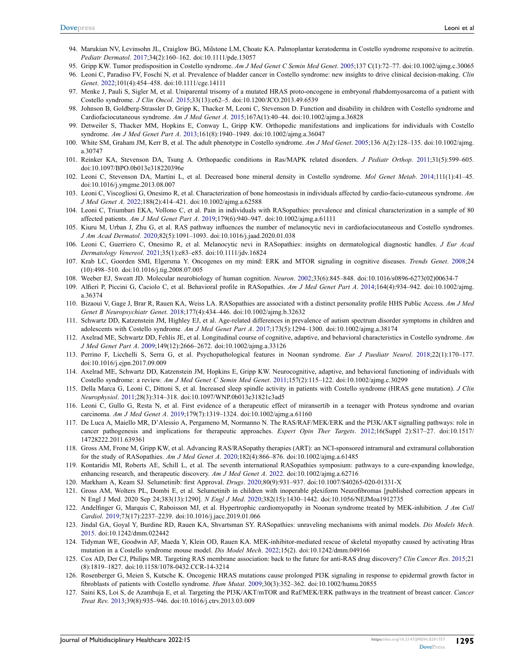- <span id="page-18-12"></span><span id="page-18-11"></span><span id="page-18-10"></span><span id="page-18-7"></span><span id="page-18-6"></span><span id="page-18-5"></span><span id="page-18-4"></span><span id="page-18-3"></span><span id="page-18-2"></span>94. Marukian NV, Levinsohn JL, Craiglow BG, Milstone LM, Choate KA. Palmoplantar keratoderma in Costello syndrome responsive to acitretin. *Pediatr Dermatol*. [2017](#page-6-1);34(2):160–162. doi:[10.1111/pde.13057](https://doi.org/10.1111/pde.13057)
- <span id="page-18-13"></span><span id="page-18-8"></span>95. Gripp KW. Tumor predisposition in Costello syndrome. *Am J Med Genet C Semin Med Genet*. [2005;](#page-6-2)137 C(1):72–77. doi:[10.1002/ajmg.c.30065](https://doi.org/10.1002/ajmg.c.30065)
- 96. Leoni C, Paradiso FV, Foschi N, et al. Prevalence of bladder cancer in Costello syndrome: new insights to drive clinical decision-making. *Clin Genet*. [2022](#page-6-3);101(4):454–458. doi:[10.1111/cge.14111](https://doi.org/10.1111/cge.14111)
- <span id="page-18-9"></span>97. Menke J, Pauli S, Sigler M, et al. Uniparental trisomy of a mutated HRAS proto-oncogene in embryonal rhabdomyosarcoma of a patient with Costello syndrome. *J Clin Oncol*. [2015;](#page-10-1)33(13):e62–5. doi:[10.1200/JCO.2013.49.6539](https://doi.org/10.1200/JCO.2013.49.6539)
- <span id="page-18-14"></span>98. Johnson B, Goldberg-Strassler D, Gripp K, Thacker M, Leoni C, Stevenson D. Function and disability in children with Costello syndrome and Cardiofaciocutaneous syndrome. *Am J Med Genet A*. [2015;](#page-5-8)167A(1):40–44. doi:[10.1002/ajmg.a.36828](https://doi.org/10.1002/ajmg.a.36828)
- <span id="page-18-15"></span><span id="page-18-0"></span>99. Detweiler S, Thacker MM, Hopkins E, Conway L, Gripp KW. Orthopedic manifestations and implications for individuals with Costello syndrome. *Am J Med Genet Part A*. [2013](#page-5-10);161(8):1940–1949. doi:[10.1002/ajmg.a.36047](https://doi.org/10.1002/ajmg.a.36047)
- <span id="page-18-18"></span>100. White SM, Graham JM, Kerr B, et al. The adult phenotype in Costello syndrome. *Am J Med Genet*. [2005;](#page-6-0)136 A(2):128–135. doi:[10.1002/ajmg.](https://doi.org/10.1002/ajmg.a.30747) [a.30747](https://doi.org/10.1002/ajmg.a.30747)
- <span id="page-18-16"></span>101. Reinker KA, Stevenson DA, Tsung A. Orthopaedic conditions in Ras/MAPK related disorders. *J Pediatr Orthop*. 2011;31(5):599–605. doi:[10.1097/BPO.0b013e318220396e](https://doi.org/10.1097/BPO.0b013e318220396e)
- <span id="page-18-17"></span>102. Leoni C, Stevenson DA, Martini L, et al. Decreased bone mineral density in Costello syndrome. *Mol Genet Metab*. [2014](#page-6-0);111(1):41–45. doi:[10.1016/j.ymgme.2013.08.007](https://doi.org/10.1016/j.ymgme.2013.08.007)
- <span id="page-18-19"></span>103. Leoni C, Viscogliosi G, Onesimo R, et al. Characterization of bone homeostasis in individuals affected by cardio-facio-cutaneous syndrome. *Am J Med Genet A*. [2022;](#page-10-2)188(2):414–421. doi:[10.1002/ajmg.a.62588](https://doi.org/10.1002/ajmg.a.62588)
- <span id="page-18-20"></span><span id="page-18-1"></span>104. Leoni C, Triumbari EKA, Vollono C, et al. Pain in individuals with RASopathies: prevalence and clinical characterization in a sample of 80 affected patients. *Am J Med Genet Part A*. [2019;](#page-11-0)179(6):940–947. doi:[10.1002/ajmg.a.61111](https://doi.org/10.1002/ajmg.a.61111)
- <span id="page-18-21"></span>105. Kiuru M, Urban J, Zhu G, et al. RAS pathway influences the number of melanocytic nevi in cardiofaciocutaneous and Costello syndromes. *J Am Acad Dermatol*. [2020](#page-6-1);82(5):1091–1093. doi:[10.1016/j.jaad.2020.01.038](https://doi.org/10.1016/j.jaad.2020.01.038)
- <span id="page-18-22"></span>106. Leoni C, Guerriero C, Onesimo R, et al. Melanocytic nevi in RASopathies: insights on dermatological diagnostic handles. *J Eur Acad Dermatology Venereol*. [2021;](#page-6-1)35(1):e83–e85. doi:[10.1111/jdv.16824](https://doi.org/10.1111/jdv.16824)
- <span id="page-18-23"></span>107. Krab LC, Goorden SMI, Elgersma Y. Oncogenes on my mind: ERK and MTOR signaling in cognitive diseases. *Trends Genet*. [2008](#page-11-1);24 (10):498–510. doi:[10.1016/j.tig.2008.07.005](https://doi.org/10.1016/j.tig.2008.07.005)
- 108. Weeber EJ, Sweatt JD. Molecular neurobiology of human cognition. *Neuron*. 2002;33(6):845–848. doi:[10.1016/s0896-6273\(02\)00634-7](https://doi.org/10.1016/s0896-6273(02)00634-7)
- <span id="page-18-24"></span>109. Alfieri P, Piccini G, Caciolo C, et al. Behavioral profile in RASopathies. *Am J Med Genet Part A*. [2014](#page-5-3);164(4):934–942. doi:[10.1002/ajmg.](https://doi.org/10.1002/ajmg.a.36374) [a.36374](https://doi.org/10.1002/ajmg.a.36374)
- <span id="page-18-25"></span>110. Bizaoui V, Gage J, Brar R, Rauen KA, Weiss LA. RASopathies are associated with a distinct personality profile HHS Public Access. *Am J Med Genet B Neuropsychiatr Genet*. [2018;](#page-11-2)177(4):434–446. doi:[10.1002/ajmg.b.32632](https://doi.org/10.1002/ajmg.b.32632)
- <span id="page-18-26"></span>111. Schwartz DD, Katzenstein JM, Highley EJ, et al. Age-related differences in prevalence of autism spectrum disorder symptoms in children and adolescents with Costello syndrome. *Am J Med Genet Part A*. [2017;](#page-12-0)173(5):1294–1300. doi:[10.1002/ajmg.a.38174](https://doi.org/10.1002/ajmg.a.38174)
- <span id="page-18-27"></span>112. Axelrad ME, Schwartz DD, Fehlis JE, et al. Longitudinal course of cognitive, adaptive, and behavioral characteristics in Costello syndrome. *Am J Med Genet Part A*. [2009;](#page-12-1)149(12):2666–2672. doi:[10.1002/ajmg.a.33126](https://doi.org/10.1002/ajmg.a.33126)
- <span id="page-18-28"></span>113. Perrino F, Licchelli S, Serra G, et al. Psychopathological features in Noonan syndrome. *Eur J Paediatr Neurol*. [2018;](#page-12-2)22(1):170–177. doi:[10.1016/j.ejpn.2017.09.009](https://doi.org/10.1016/j.ejpn.2017.09.009)
- <span id="page-18-29"></span>114. Axelrad ME, Schwartz DD, Katzenstein JM, Hopkins E, Gripp KW. Neurocognitive, adaptive, and behavioral functioning of individuals with Costello syndrome: a review. *Am J Med Genet C Semin Med Genet*. [2011;](#page-12-3)157(2):115–122. doi:[10.1002/ajmg.c.30299](https://doi.org/10.1002/ajmg.c.30299)
- <span id="page-18-30"></span>115. Della Marca G, Leoni C, Dittoni S, et al. Increased sleep spindle activity in patients with Costello syndrome (HRAS gene mutation). *J Clin Neurophysiol*. [2011;](#page-12-4)28(3):314–318. doi:[10.1097/WNP.0b013e31821c3ad5](https://doi.org/10.1097/WNP.0b013e31821c3ad5)
- <span id="page-18-31"></span>116. Leoni C, Gullo G, Resta N, et al. First evidence of a therapeutic effect of miransertib in a teenager with Proteus syndrome and ovarian carcinoma. *Am J Med Genet A*. [2019;](#page-13-0)179(7):1319–1324. doi:[10.1002/ajmg.a.61160](https://doi.org/10.1002/ajmg.a.61160)
- <span id="page-18-32"></span>117. De Luca A, Maiello MR, D'Alessio A, Pergameno M, Normanno N. The RAS/RAF/MEK/ERK and the PI3K/AKT signalling pathways: role in cancer pathogenesis and implications for therapeutic approaches. *Expert Opin Ther Targets*. [2012;](#page-13-0)16(Suppl 2):S17–27. doi:[10.1517/](https://doi.org/10.1517/14728222.2011.639361) [14728222.2011.639361](https://doi.org/10.1517/14728222.2011.639361)
- <span id="page-18-33"></span>118. Gross AM, Frone M, Gripp KW, et al. Advancing RAS/RASopathy therapies (ART): an NCI-sponsored intramural and extramural collaboration for the study of RASopathies. *Am J Med Genet A*. [2020;](#page-13-1)182(4):866–876. doi:[10.1002/ajmg.a.61485](https://doi.org/10.1002/ajmg.a.61485)
- <span id="page-18-34"></span>119. Kontaridis MI, Roberts AE, Schill L, et al. The seventh international RASopathies symposium: pathways to a cure-expanding knowledge, enhancing research, and therapeutic discovery. *Am J Med Genet A*. [2022](#page-13-2). doi:[10.1002/ajmg.a.62716](https://doi.org/10.1002/ajmg.a.62716)
- <span id="page-18-35"></span>120. Markham A, Keam SJ. Selumetinib: first Approval. *Drugs*. [2020;](#page-13-3)80(9):931–937. doi:[10.1007/S40265-020-01331-X](https://doi.org/10.1007/S40265-020-01331-X)
- <span id="page-18-36"></span>121. Gross AM, Wolters PL, Dombi E, et al. Selumetinib in children with inoperable plexiform Neurofibromas [published correction appears in N Engl J Med. 2020 Sep 24;383(13):1290]. *N Engl J Med*. [2020;](#page-13-3)382(15):1430–1442. doi:[10.1056/NEJMoa1912735](https://doi.org/10.1056/NEJMoa1912735)
- <span id="page-18-37"></span>122. Andelfinger G, Marquis C, Raboisson MJ, et al. Hypertrophic cardiomyopathy in Noonan syndrome treated by MEK-inhibition. *J Am Coll Cardiol*. [2019;](#page-13-4)73(17):2237–2239. doi:[10.1016/j.jacc.2019.01.066](https://doi.org/10.1016/j.jacc.2019.01.066)
- <span id="page-18-38"></span>123. Jindal GA, Goyal Y, Burdine RD, Rauen KA, Shvartsman SY. RASopathies: unraveling mechanisms with animal models. *Dis Models Mech*. [2015](#page-13-5). doi:[10.1242/dmm.022442](https://doi.org/10.1242/dmm.022442)
- <span id="page-18-39"></span>124. Tidyman WE, Goodwin AF, Maeda Y, Klein OD, Rauen KA. MEK-inhibitor-mediated rescue of skeletal myopathy caused by activating Hras mutation in a Costello syndrome mouse model. *Dis Model Mech*. [2022](#page-13-6);15(2). doi:[10.1242/dmm.049166](https://doi.org/10.1242/dmm.049166)
- <span id="page-18-40"></span>125. Cox AD, Der CJ, Philips MR. Targeting RAS membrane association: back to the future for anti-RAS drug discovery? *Clin Cancer Res*. [2015](#page-13-1);21 (8):1819–1827. doi:[10.1158/1078-0432.CCR-14-3214](https://doi.org/10.1158/1078-0432.CCR-14-3214)
- <span id="page-18-41"></span>126. Rosenberger G, Meien S, Kutsche K. Oncogenic HRAS mutations cause prolonged PI3K signaling in response to epidermal growth factor in fibroblasts of patients with Costello syndrome. *Hum Mutat*. [2009;](#page-13-7)30(3):352–362. doi:[10.1002/humu.20855](https://doi.org/10.1002/humu.20855)
- <span id="page-18-42"></span>127. Saini KS, Loi S, de Azambuja E, et al. Targeting the PI3K/AKT/mTOR and Raf/MEK/ERK pathways in the treatment of breast cancer. *Cancer Treat Rev*. [2013;](#page-13-7)39(8):935–946. doi:[10.1016/j.ctrv.2013.03.009](https://doi.org/10.1016/j.ctrv.2013.03.009)